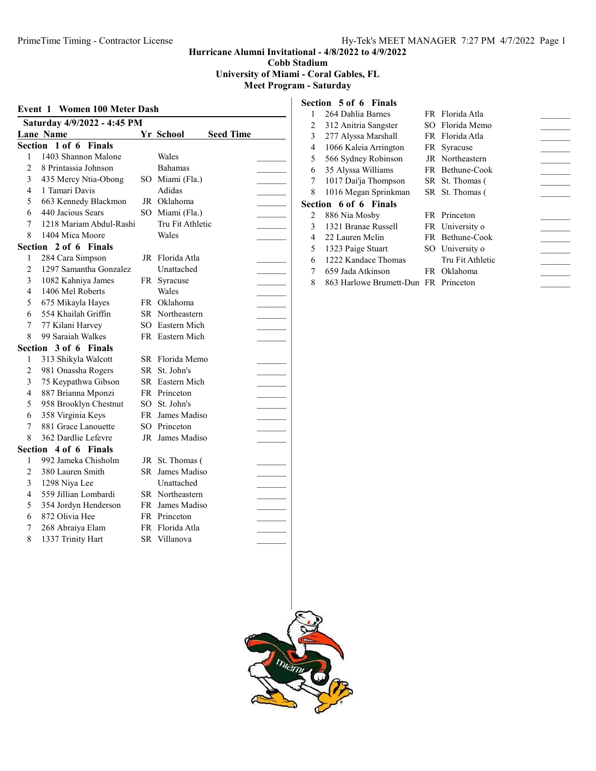Cobb Stadium

University of Miami - Coral Gables, FL

#### Meet Program - Saturday

| <b>Event 1 Women 100 Meter Dash</b> |                             |    |                               |  |
|-------------------------------------|-----------------------------|----|-------------------------------|--|
|                                     | Saturday 4/9/2022 - 4:45 PM |    |                               |  |
|                                     | <b>Lane Name</b>            |    | Yr School<br><b>Seed Time</b> |  |
| Section                             | $1$ of 6<br><b>Finals</b>   |    |                               |  |
| 1                                   | 1403 Shannon Malone         |    | Wales                         |  |
| $\overline{c}$                      | 8 Printassia Johnson        |    | <b>Bahamas</b>                |  |
| 3                                   | 435 Mercy Ntia-Obong        |    | SO Miami (Fla.)               |  |
| 4                                   | 1 Tamari Davis              |    | Adidas                        |  |
| 5                                   | 663 Kennedy Blackmon        |    | JR Oklahoma                   |  |
| 6                                   | 440 Jacious Sears           |    | SO Miami (Fla.)               |  |
| 7                                   | 1218 Mariam Abdul-Rashi     |    | Tru Fit Athletic              |  |
| 8                                   | 1404 Mica Moore             |    | Wales                         |  |
|                                     | Section 2 of 6 Finals       |    |                               |  |
| 1                                   | 284 Cara Simpson            |    | JR Florida Atla               |  |
| $\overline{c}$                      | 1297 Samantha Gonzalez      |    | Unattached                    |  |
| 3                                   | 1082 Kahniya James          |    | FR Syracuse                   |  |
| 4                                   | 1406 Mel Roberts            |    | Wales                         |  |
| 5                                   | 675 Mikayla Hayes           |    | FR Oklahoma                   |  |
| 6                                   | 554 Khailah Griffin         |    | SR Northeastern               |  |
| 7                                   | 77 Kilani Harvey            |    | SO Eastern Mich               |  |
| 8                                   | 99 Saraiah Walkes           |    | FR Eastern Mich               |  |
|                                     | Section 3 of 6 Finals       |    |                               |  |
| 1                                   | 313 Shikyla Walcott         |    | SR Florida Memo               |  |
| 2                                   | 981 Onassha Rogers          | SR | St. John's                    |  |
| 3                                   | 75 Keypathwa Gibson         |    | SR Eastern Mich               |  |
| 4                                   | 887 Brianna Mponzi          |    | FR Princeton                  |  |
| 5                                   | 958 Brooklyn Chestnut       |    | SO St. John's                 |  |
| 6                                   | 358 Virginia Keys           |    | FR James Madiso               |  |
| 7                                   | 881 Grace Lanouette         |    | SO Princeton                  |  |
| 8                                   | 362 Dardlie Lefevre         |    | JR James Madiso               |  |
|                                     | Section 4 of 6 Finals       |    |                               |  |
| 1                                   | 992 Jameka Chisholm         |    | JR St. Thomas (               |  |
| $\overline{c}$                      | 380 Lauren Smith            | SR | James Madiso                  |  |
| 3                                   | 1298 Niya Lee               |    | Unattached                    |  |
| 4                                   | 559 Jillian Lombardi        |    | SR Northeastern               |  |
| 5                                   | 354 Jordyn Henderson        |    | FR James Madiso               |  |
| 6                                   | 872 Olivia Hee              |    | FR Princeton                  |  |
| 7                                   | 268 Abraiya Elam            |    | FR Florida Atla               |  |
| 8                                   | 1337 Trinity Hart           |    | SR Villanova                  |  |
|                                     |                             |    |                               |  |

#### Section 5 of 6 Finals

|   | 264 Dahlia Barnes     | FR Florida Atla  |  |
|---|-----------------------|------------------|--|
| 2 | 312 Anitria Sangster  | SO Florida Memo  |  |
| 3 | 277 Alyssa Marshall   | FR Florida Atla  |  |
| 4 | 1066 Kaleia Arrington | FR Syracuse      |  |
| 5 | 566 Sydney Robinson   | JR Northeastern  |  |
| 6 | 35 Alyssa Williams    | FR Bethune-Cook  |  |
| 7 | 1017 Dai'ja Thompson  | SR St. Thomas (  |  |
| 8 | 1016 Megan Sprinkman  | SR St. Thomas (  |  |
|   |                       |                  |  |
|   | Section 6 of 6 Finals |                  |  |
| 2 | 886 Nia Mosby         | FR Princeton     |  |
| 3 | 1321 Branae Russell   | FR University o  |  |
| 4 | 22 Lauren Mclin       | FR Bethune-Cook  |  |
| 5 | 1323 Paige Stuart     | SO University o  |  |
| 6 | 1222 Kandace Thomas   | Tru Fit Athletic |  |
| 7 | 659 Jada Atkinson     | FR Oklahoma      |  |

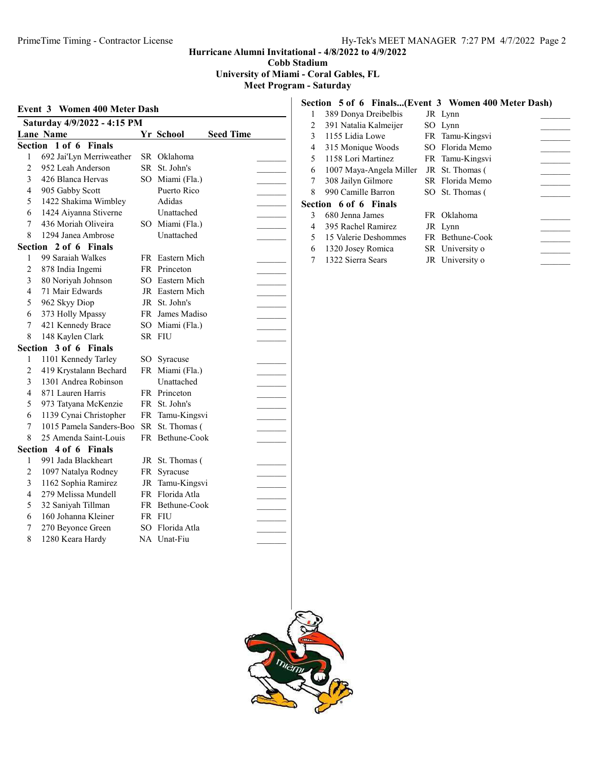Cobb Stadium

University of Miami - Coral Gables, FL

Meet Program - Saturday

## Event 3 Women 400 Meter Dash Saturday 4/9/2022 - 4:15 PM Lane Name Yr School Seed Time Section 1 of 6 Finals 1 692 Jai'Lyn Merriweather SR Oklahoma 2 952 Leah Anderson SR St. John's 3 426 Blanca Hervas SO Miami (Fla.) 4 905 Gabby Scott Puerto Rico 5 1422 Shakima Wimbley Adidas 6 1424 Aiyanna Stiverne Unattached \_\_\_\_\_\_\_\_\_ 7 436 Moriah Oliveira SO Miami (Fla.) 8 1294 Janea Ambrose Unattached \_\_\_\_\_\_\_\_\_ Section 2 of 6 Finals 1 99 Saraiah Walkes FR Eastern Mich 2 878 India Ingemi FR Princeton 3 80 Norivah Johnson SO Eastern Mich 4 71 Mair Edwards JR Eastern Mich 5 962 Skyy Diop JR St. John's<br>
6 373 Holly Mpassy FR James Madiso<br>
7 421 Kennedy Brace SO Miami (Fla.)<br>
8 148 Kaylen Clark SR FIU 6 373 Holly Mpassy FR James Madiso 7 421 Kennedy Brace SO Miami (Fla.) 8 148 Kaylen Clark SR FIU<br> **ection 3 of 6 Finals**<br>
1 1101 Kennedy Tarley SO Syracuse<br>
2 419 Krystalann Bechard FR Miami (Fla.)<br>
3 1301 Andrea Robinson Unattached<br>
4 871 Lauren Herris EP Princeter Section 3 of 6 Finals 1 1101 Kennedy Tarley SO S

| <sup>1</sup>   | 1101 Kennedy Tarley     |     | SO Syracuse     |
|----------------|-------------------------|-----|-----------------|
| $\overline{2}$ | 419 Krystalann Bechard  |     | FR Miami (Fla.) |
| 3              | 1301 Andrea Robinson    |     | Unattached      |
| 4              | 871 Lauren Harris       |     | FR Princeton    |
| 5              | 973 Tatyana McKenzie    |     | FR St. John's   |
| 6              | 1139 Cynai Christopher  |     | FR Tamu-Kingsvi |
| 7              | 1015 Pamela Sanders-Boo |     | SR St. Thomas ( |
| 8              | 25 Amenda Saint-Louis   |     | FR Bethune-Cook |
|                | ection 4 of 6 Finals    |     |                 |
| 1              | 991 Jada Blackheart     |     | JR St. Thomas ( |
| $\overline{2}$ | 1097 Natalya Rodney     |     | FR Syracuse     |
| 3              | 1162 Sophia Ramirez     |     | JR Tamu-Kingsvi |
| $\overline{4}$ | 279 Melissa Mundell     |     | FR Florida Atla |
| 5              | 32 Saniyah Tillman      |     | FR Bethune-Cook |
| 6              | 160 Johanna Kleiner     | FR. | <b>FIU</b>      |
| 7              | 270 Beyonce Green       |     | SO Florida Atla |
| 8              | 1280 Keara Hardy        |     | NA Unat-Fiu     |

Section 4 of

#### Section 5 of 6 Finals...(Event 3 Women 400 Meter Dash)

|   | 389 Donya Dreibelbis    | JR Lynn         |  |
|---|-------------------------|-----------------|--|
| 2 | 391 Natalia Kalmeijer   | SO Lynn         |  |
| 3 | 1155 Lidia Lowe         | FR Tamu-Kingsvi |  |
| 4 | 315 Monique Woods       | SO Florida Memo |  |
| 5 | 1158 Lori Martinez      | FR Tamu-Kingsvi |  |
| 6 | 1007 Maya-Angela Miller | JR St. Thomas ( |  |
|   | 308 Jailyn Gilmore      | SR Florida Memo |  |
| 8 | 990 Camille Barron      | SO St. Thomas ( |  |
|   | Section 6 of 6 Finals   |                 |  |
| 3 | 680 Jenna James         | FR Oklahoma     |  |
| 4 | 395 Rachel Ramirez      | JR Lynn         |  |
| 5 | 15 Valerie Deshommes    | FR Bethune-Cook |  |
| 6 | 1320 Josey Romica       | SR University o |  |
|   | 1322 Sierra Sears       | JR University o |  |

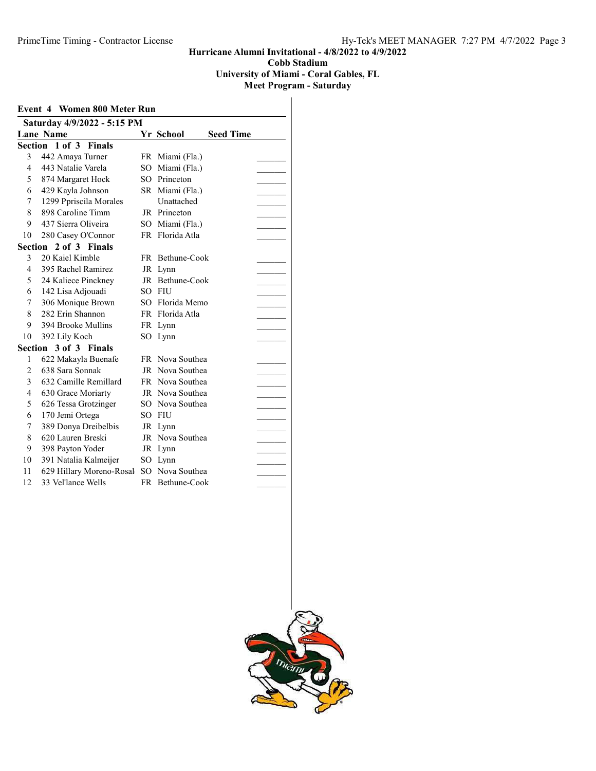University of Miami - Coral Gables, FL

| <b>Event 4 Women 800 Meter Run</b><br>Saturday 4/9/2022 - 5:15 PM |                             |     |                 |  |  |
|-------------------------------------------------------------------|-----------------------------|-----|-----------------|--|--|
|                                                                   |                             |     |                 |  |  |
|                                                                   | Section 1 of 3 Finals       |     |                 |  |  |
| 3                                                                 | 442 Amaya Turner            |     | FR Miami (Fla.) |  |  |
| 4                                                                 | 443 Natalie Varela          | SO. | Miami (Fla.)    |  |  |
| 5                                                                 | 874 Margaret Hock           | SO. | Princeton       |  |  |
| 6                                                                 | 429 Kayla Johnson           |     | SR Miami (Fla.) |  |  |
| 7                                                                 | 1299 Ppriscila Morales      |     | Unattached      |  |  |
| 8                                                                 | 898 Caroline Timm           |     | JR Princeton    |  |  |
| 9                                                                 | 437 Sierra Oliveira         |     | SO Miami (Fla.) |  |  |
| 10                                                                | 280 Casey O'Connor          |     | FR Florida Atla |  |  |
| Section                                                           | 2 of 3 Finals               |     |                 |  |  |
| 3                                                                 | 20 Kaiel Kimble             |     | FR Bethune-Cook |  |  |
| $\overline{\mathcal{L}}$                                          | 395 Rachel Ramirez          |     | JR Lynn         |  |  |
| 5                                                                 | 24 Kaliece Pinckney         |     | JR Bethune-Cook |  |  |
| 6                                                                 | 142 Lisa Adjouadi           | SO. | <b>FIU</b>      |  |  |
| 7                                                                 | 306 Monique Brown           |     | SO Florida Memo |  |  |
| 8                                                                 | 282 Erin Shannon            |     | FR Florida Atla |  |  |
| 9                                                                 | 394 Brooke Mullins          |     | FR Lynn         |  |  |
| 10                                                                | 392 Lily Koch               |     | SO Lynn         |  |  |
| Section                                                           | 3 of 3 Finals               |     |                 |  |  |
| $\mathbf{1}$                                                      | 622 Makayla Buenafe         |     | FR Nova Southea |  |  |
| $\overline{c}$                                                    | 638 Sara Sonnak             |     | JR Nova Southea |  |  |
| 3                                                                 | 632 Camille Remillard       |     | FR Nova Southea |  |  |
| 4                                                                 | 630 Grace Moriarty          |     | JR Nova Southea |  |  |
| 5                                                                 | 626 Tessa Grotzinger        |     | SO Nova Southea |  |  |
| 6                                                                 | 170 Jemi Ortega             |     | SO FIU          |  |  |
| 7                                                                 | 389 Donya Dreibelbis        |     | JR Lynn         |  |  |
| 8                                                                 | 620 Lauren Breski           | JR  | Nova Southea    |  |  |
| 9                                                                 | 398 Payton Yoder            | JR  | Lynn            |  |  |
| 10                                                                | 391 Natalia Kalmeijer       | SO  | Lynn            |  |  |
| 11                                                                | 629 Hillary Moreno-Rosal SO |     | Nova Southea    |  |  |
| 12                                                                | 33 Vel'lance Wells          | FR  | Bethune-Cook    |  |  |

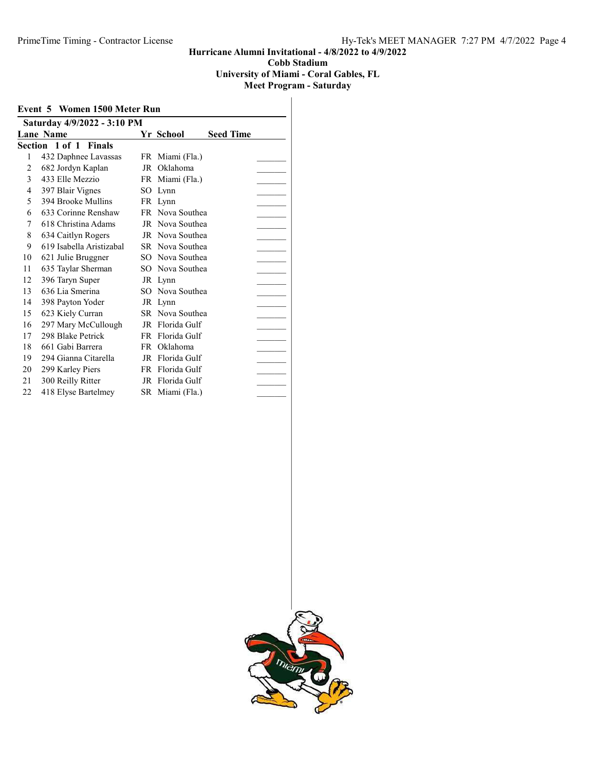University of Miami - Coral Gables, FL

| Event 5 Women 1500 Meter Run<br>Saturday 4/9/2022 - 3:10 PM |  |                          |    |                 |  |  |
|-------------------------------------------------------------|--|--------------------------|----|-----------------|--|--|
|                                                             |  |                          |    |                 |  |  |
|                                                             |  | Section 1 of 1 Finals    |    |                 |  |  |
| 1                                                           |  | 432 Daphnee Lavassas     |    | FR Miami (Fla.) |  |  |
| 2                                                           |  | 682 Jordyn Kaplan        | JR | Oklahoma        |  |  |
| 3                                                           |  | 433 Elle Mezzio          |    | FR Miami (Fla.) |  |  |
| 4                                                           |  | 397 Blair Vignes         |    | SO Lynn         |  |  |
| 5                                                           |  | 394 Brooke Mullins       |    | FR Lynn         |  |  |
| 6                                                           |  | 633 Corinne Renshaw      |    | FR Nova Southea |  |  |
| 7                                                           |  | 618 Christina Adams      |    | JR Nova Southea |  |  |
| 8                                                           |  | 634 Caitlyn Rogers       |    | JR Nova Southea |  |  |
| 9                                                           |  | 619 Isabella Aristizabal |    | SR Nova Southea |  |  |
| 10                                                          |  | 621 Julie Bruggner       |    | SO Nova Southea |  |  |
| 11                                                          |  | 635 Taylar Sherman       |    | SO Nova Southea |  |  |
| 12                                                          |  | 396 Taryn Super          |    | JR Lynn         |  |  |
| 13                                                          |  | 636 Lia Smerina          |    | SO Nova Southea |  |  |
| 14                                                          |  | 398 Payton Yoder         |    | JR Lynn         |  |  |
| 15                                                          |  | 623 Kiely Curran         |    | SR Nova Southea |  |  |
| 16                                                          |  | 297 Mary McCullough      |    | JR Florida Gulf |  |  |
| 17                                                          |  | 298 Blake Petrick        |    | FR Florida Gulf |  |  |
| 18                                                          |  | 661 Gabi Barrera         | FR | Oklahoma        |  |  |
| 19                                                          |  | 294 Gianna Citarella     |    | JR Florida Gulf |  |  |
| 20                                                          |  | 299 Karley Piers         |    | FR Florida Gulf |  |  |
| 21                                                          |  | 300 Reilly Ritter        |    | JR Florida Gulf |  |  |
| 22                                                          |  | 418 Elyse Bartelmey      |    | SR Miami (Fla.) |  |  |

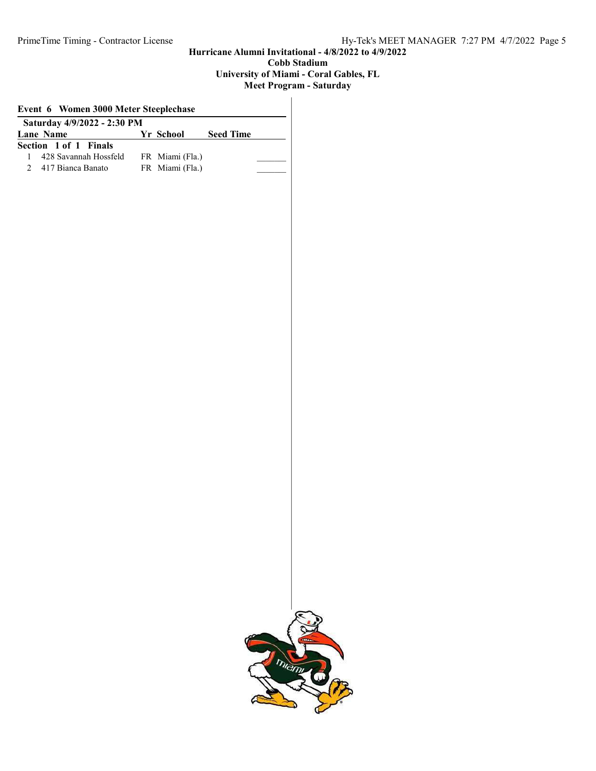### University of Miami - Coral Gables, FL

| Saturday 4/9/2022 - 2:30 PM |  |                 |                  |  |
|-----------------------------|--|-----------------|------------------|--|
| Lane Name                   |  | Yr School       | <b>Seed Time</b> |  |
| Section 1 of 1 Finals       |  |                 |                  |  |
| 428 Savannah Hossfeld       |  | FR Miami (Fla.) |                  |  |
| 2 417 Bianca Banato         |  | FR Miami (Fla.) |                  |  |
|                             |  |                 |                  |  |
|                             |  |                 |                  |  |
|                             |  |                 |                  |  |
|                             |  |                 |                  |  |
|                             |  |                 |                  |  |
|                             |  |                 |                  |  |

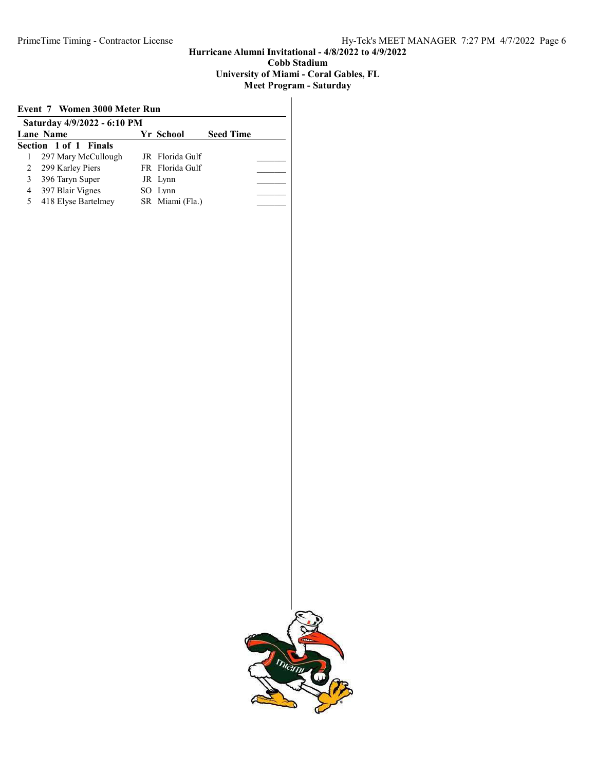#### University of Miami - Coral Gables, FL

| Event 7 Women 3000 Meter Run |                       |  |                 |                  |  |
|------------------------------|-----------------------|--|-----------------|------------------|--|
| Saturday 4/9/2022 - 6:10 PM  |                       |  |                 |                  |  |
|                              | Lane Name             |  | Yr School       | <b>Seed Time</b> |  |
|                              | Section 1 of 1 Finals |  |                 |                  |  |
|                              | 297 Mary McCullough   |  | JR Florida Gulf |                  |  |
| 2                            | 299 Karley Piers      |  | FR Florida Gulf |                  |  |
| 3                            | 396 Taryn Super       |  | JR Lynn         |                  |  |
| 4                            | 397 Blair Vignes      |  | SO Lynn         |                  |  |
| 5                            | 418 Elyse Bartelmey   |  | SR Miami (Fla.) |                  |  |
|                              |                       |  |                 |                  |  |

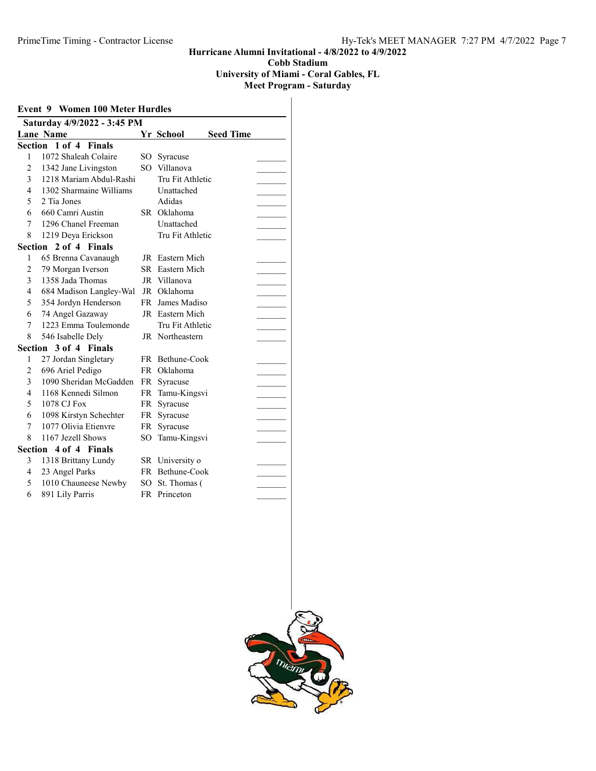#### Hurricane Alumni Invitational - 4/8/2022 to 4/9/2022 Cobb Stadium University of Miami - Coral Gables, FL

| <b>Event 9 Women 100 Meter Hurdles</b><br>Saturday 4/9/2022 - 3:45 PM |                             |           |                  |  |
|-----------------------------------------------------------------------|-----------------------------|-----------|------------------|--|
|                                                                       |                             |           |                  |  |
| Section                                                               | $1$ of $4$<br><b>Finals</b> |           |                  |  |
| 1                                                                     | 1072 Shaleah Colaire        | SO -      | Syracuse         |  |
| 2                                                                     | 1342 Jane Livingston        | SO        | Villanova        |  |
| 3                                                                     | 1218 Mariam Abdul-Rashi     |           | Tru Fit Athletic |  |
| 4                                                                     | 1302 Sharmaine Williams     |           | Unattached       |  |
| 5                                                                     | 2 Tia Jones                 |           | Adidas           |  |
| 6                                                                     | 660 Camri Austin            |           | SR Oklahoma      |  |
| 7                                                                     | 1296 Chanel Freeman         |           | Unattached       |  |
| 8                                                                     | 1219 Deya Erickson          |           | Tru Fit Athletic |  |
|                                                                       | Section 2 of 4 Finals       |           |                  |  |
| 1                                                                     | 65 Brenna Cavanaugh         |           | JR Eastern Mich  |  |
| $\overline{c}$                                                        | 79 Morgan Iverson           |           | SR Eastern Mich  |  |
| 3                                                                     | 1358 Jada Thomas            |           | JR Villanova     |  |
| $\overline{4}$                                                        | 684 Madison Langley-Wal     |           | JR Oklahoma      |  |
| 5                                                                     | 354 Jordyn Henderson        |           | FR James Madiso  |  |
| 6                                                                     | 74 Angel Gazaway            |           | JR Eastern Mich  |  |
| 7                                                                     | 1223 Emma Toulemonde        |           | Tru Fit Athletic |  |
| 8                                                                     | 546 Isabelle Dely           |           | JR Northeastern  |  |
|                                                                       | Section 3 of 4 Finals       |           |                  |  |
| 1                                                                     | 27 Jordan Singletary        |           | FR Bethune-Cook  |  |
| 2                                                                     | 696 Ariel Pedigo            |           | FR Oklahoma      |  |
| 3                                                                     | 1090 Sheridan McGadden      | FR        | Syracuse         |  |
| $\overline{\mathcal{L}}$                                              | 1168 Kennedi Silmon         | <b>FR</b> | Tamu-Kingsvi     |  |
| 5                                                                     | 1078 CJ Fox                 | FR        | Syracuse         |  |
| 6                                                                     | 1098 Kirstyn Schechter      | FR        | Syracuse         |  |
| 7                                                                     | 1077 Olivia Etienvre        | FR        | Syracuse         |  |
| 8                                                                     | 1167 Jezell Shows           | SО        | Tamu-Kingsvi     |  |
| Section                                                               | 4 of 4 Finals               |           |                  |  |
| 3                                                                     | 1318 Brittany Lundy         |           | SR University o  |  |
| $\overline{4}$                                                        | 23 Angel Parks              |           | FR Bethune-Cook  |  |
| 5                                                                     | 1010 Chauneese Newby        | SO        | St. Thomas (     |  |
| 6                                                                     | 891 Lily Parris             |           | FR Princeton     |  |
|                                                                       |                             |           |                  |  |
|                                                                       |                             |           |                  |  |

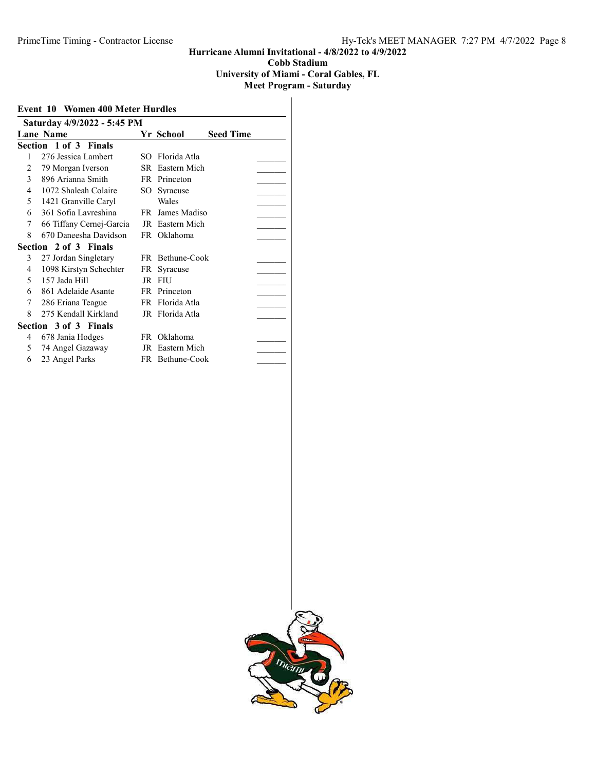#### Hurricane Alumni Invitational - 4/8/2022 to 4/9/2022 Cobb Stadium University of Miami - Coral Gables, FL

| <b>Event 10 Women 400 Meter Hurdles</b> |                          |     |                 |                  |  |
|-----------------------------------------|--------------------------|-----|-----------------|------------------|--|
| Saturday 4/9/2022 - 5:45 PM             |                          |     |                 |                  |  |
|                                         | <b>Lane Name</b>         |     | Yr School       | <b>Seed Time</b> |  |
|                                         | Section 1 of 3 Finals    |     |                 |                  |  |
| 1                                       | 276 Jessica Lambert      |     | SO Florida Atla |                  |  |
| 2                                       | 79 Morgan Iverson        |     | SR Eastern Mich |                  |  |
| $\mathfrak{Z}$                          | 896 Arianna Smith        |     | FR Princeton    |                  |  |
| 4                                       | 1072 Shaleah Colaire     | SO. | Syracuse        |                  |  |
| 5                                       | 1421 Granville Caryl     |     | Wales           |                  |  |
| 6                                       | 361 Sofia Lavreshina     |     | FR James Madiso |                  |  |
| 7                                       | 66 Tiffany Cernej-Garcia |     | JR Eastern Mich |                  |  |
| 8                                       | 670 Daneesha Davidson    |     | FR Oklahoma     |                  |  |
|                                         | Section 2 of 3 Finals    |     |                 |                  |  |
| 3                                       | 27 Jordan Singletary     |     | FR Bethune-Cook |                  |  |
| 4                                       | 1098 Kirstyn Schechter   | FR  | Syracuse        |                  |  |
| 5                                       | 157 Jada Hill            |     | JR FIU          |                  |  |
| 6                                       | 861 Adelaide Asante      |     | FR Princeton    |                  |  |
| 7                                       | 286 Eriana Teague        |     | FR Florida Atla |                  |  |
| 8                                       | 275 Kendall Kirkland     |     | JR Florida Atla |                  |  |
|                                         | Section 3 of 3 Finals    |     |                 |                  |  |
| 4                                       | 678 Jania Hodges         |     | FR Oklahoma     |                  |  |
| 5                                       | 74 Angel Gazaway         |     | JR Eastern Mich |                  |  |
| 6                                       | 23 Angel Parks           |     | FR Bethune-Cook |                  |  |

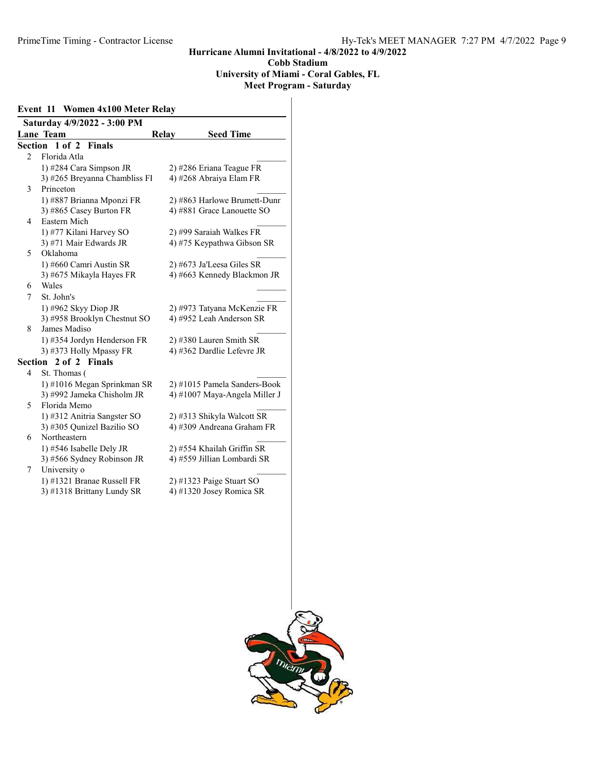#### Hurricane Alumni Invitational - 4/8/2022 to 4/9/2022 Cobb Stadium University of Miami - Coral Gables, FL Meet Program - Saturday

#### Event 11 Women 4x100 Meter Relay Saturday 4/9/2022 - 3:00 PM Lane Team Relay Seed Time Section 1 of 2 Finals 2 Florida Atla 1) #284 Cara Simpson JR 2) #286 Eriana Teague FR<br>3) #265 Brevanna Chambliss Fl 4) #268 Abraiya Elam FR 3) #265 Breyanna Chambliss FI 3 Princeton 1) #887 Brianna Mponzi FR 2) #863 Harlowe Brumett-Dunn 3) #865 Casey Burton FR 4) #881 Grace Lanouette SO 4 Eastern Mich 1) #77 Kilani Harvey SO 2) #99 Saraiah Walkes FR<br>3) #71 Mair Edwards JR 4) #75 Keypathwa Gibson 4) #75 Keypathwa Gibson SR 5 Oklahoma 1) #660 Camri Austin SR 2) #673 Ja'Leesa Giles SR 3)  $#675$  Mikayla Hayes FR 4)  $#663$  Kennedy Blackmon JR 6 Wales \_\_\_\_\_\_\_\_\_ 7 St. John's \_\_\_\_\_\_\_\_\_ 1) #962 Skyy Diop JR 2) #973 Tatyana McKenzie FR<br>3) #958 Brooklyn Chestnut SO 4) #952 Leah Anderson SR 3) #958 Brooklyn Chestnut SO 8 James Madiso 1) #354 Jordyn Henderson FR 2) #380 Lauren Smith SR<br>3) #373 Holly Mpassy FR 4) #362 Dardlie Lefevre JR 3) #373 Holly Mpassy FR Section 2 of 2 Finals 4 St. Thomas ( 1) #1016 Megan Sprinkman SR  $2)$  #1015 Pamela Sanders-Book 3) #992 Jameka Chisholm JR 4) #1007 Maya-Angela Miller J 5 Florida Memo 1) #312 Anitria Sangster SO 2) #313 Shikyla Walcott SR 3) #305 Qunizel Bazilio SO 4) #309 Andreana Graham FR 6 Northeastern \_\_\_\_\_\_\_\_\_ 1) #546 Isabelle Dely JR 2) #554 Khailah Griffin SR 3) #566 Sydney Robinson JR 4) #559 Jillian Lombardi SR 7 University o 1) #1321 Branae Russell FR 2) #1323 Paige Stuart SO 3) #1318 Brittany Lundy SR 4) #1320 Josey Romica SR

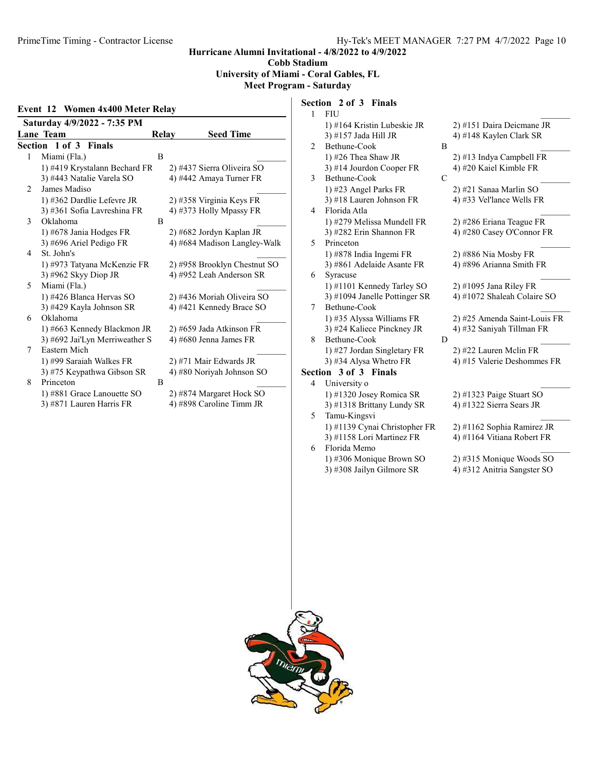Cobb Stadium

## University of Miami - Coral Gables, FL

## Meet Program - Saturday

#### Event 12 Women 4x400 Meter Relay

| Saturday 4/9/2022 - 7:35 PM |                                |              |  |                              |  |
|-----------------------------|--------------------------------|--------------|--|------------------------------|--|
|                             | Lane Team                      | <b>Relay</b> |  | <b>Seed Time</b>             |  |
|                             | <b>Section 1 of 3 Finals</b>   |              |  |                              |  |
| 1                           | Miami (Fla.)                   | B            |  |                              |  |
|                             | 1) #419 Krystalann Bechard FR  |              |  | 2) #437 Sierra Oliveira SO   |  |
|                             | 3) #443 Natalie Varela SO      |              |  | 4) #442 Amaya Turner FR      |  |
| 2                           | James Madiso                   |              |  |                              |  |
|                             | 1) #362 Dardlie Lefevre JR     |              |  | 2) #358 Virginia Keys FR     |  |
|                             | 3) #361 Sofia Lavreshina FR    |              |  | 4) #373 Holly Mpassy FR      |  |
| 3                           | Oklahoma                       | B            |  |                              |  |
|                             | 1) #678 Jania Hodges FR        |              |  | 2) #682 Jordyn Kaplan JR     |  |
|                             | 3) #696 Ariel Pedigo FR        |              |  | 4) #684 Madison Langley-Walk |  |
| 4                           | St. John's                     |              |  |                              |  |
|                             | 1) #973 Tatyana McKenzie FR    |              |  | 2) #958 Brooklyn Chestnut SO |  |
|                             | 3) #962 Skyy Diop JR           |              |  | 4) #952 Leah Anderson SR     |  |
| 5                           | Miami (Fla.)                   |              |  |                              |  |
|                             | 1) #426 Blanca Hervas SO       |              |  | 2) #436 Moriah Oliveira SO   |  |
|                             | 3) #429 Kayla Johnson SR       |              |  | 4) #421 Kennedy Brace SO     |  |
| 6                           | Oklahoma                       |              |  |                              |  |
|                             | 1) #663 Kennedy Blackmon JR    |              |  | 2) #659 Jada Atkinson FR     |  |
|                             | 3) #692 Jai'Lyn Merriweather S |              |  | 4) #680 Jenna James FR       |  |
| 7                           | Eastern Mich                   |              |  |                              |  |
|                             | 1) #99 Saraiah Walkes FR       |              |  | 2) #71 Mair Edwards JR       |  |
|                             | 3) #75 Keypathwa Gibson SR     |              |  | 4) #80 Noriyah Johnson SO    |  |
| 8                           | Princeton                      | B            |  |                              |  |
|                             | 1) #881 Grace Lanouette SO     |              |  | 2) #874 Margaret Hock SO     |  |
|                             | 3) #871 Lauren Harris FR       |              |  | 4) #898 Caroline Timm JR     |  |

## Section 2 of 3 Finals

|                | $5$ culture $4$ up $5$<br>— гипаіз |   |                              |
|----------------|------------------------------------|---|------------------------------|
| 1              | <b>FIU</b>                         |   |                              |
|                | 1) #164 Kristin Lubeskie JR        |   | 2) #151 Daira Deicmane JR    |
|                | 3) #157 Jada Hill JR               |   | 4) #148 Kaylen Clark SR      |
| $\mathfrak{D}$ | Bethune-Cook                       | B |                              |
|                | 1) #26 Thea Shaw JR                |   | 2) #13 Indya Campbell FR     |
|                | 3) #14 Jourdon Cooper FR           |   | 4) #20 Kaiel Kimble FR       |
| 3              | Bethune-Cook                       | C |                              |
|                | 1) #23 Angel Parks FR              |   | 2) #21 Sanaa Marlin SO       |
|                | 3) #18 Lauren Johnson FR           |   | 4) #33 Vel'lance Wells FR    |
| 4              | Florida Atla                       |   |                              |
|                | 1) #279 Melissa Mundell FR         |   | 2) #286 Eriana Teague FR     |
|                | 3) #282 Erin Shannon FR            |   | 4) #280 Casey O'Connor FR    |
| 5              | Princeton                          |   |                              |
|                | 1) #878 India Ingemi FR            |   | 2) #886 Nia Mosby FR         |
|                | 3) #861 Adelaide Asante FR         |   | 4) #896 Arianna Smith FR     |
| 6              | Syracuse                           |   |                              |
|                | 1) #1101 Kennedy Tarley SO         |   | 2) #1095 Jana Riley FR       |
|                | 3) #1094 Janelle Pottinger SR      |   | 4) #1072 Shaleah Colaire SO  |
| 7              | Bethune-Cook                       |   |                              |
|                | 1) #35 Alyssa Williams FR          |   | 2) #25 Amenda Saint-Louis FR |
|                | 3) #24 Kaliece Pinckney JR         |   | 4) #32 Saniyah Tillman FR    |
| 8              | Bethune-Cook                       | D |                              |
|                | 1) #27 Jordan Singletary FR        |   | 2) #22 Lauren Melin FR       |
|                | 3) #34 Alysa Whetro FR             |   | 4) #15 Valerie Deshommes FR  |
|                | <b>Section 3 of 3 Finals</b>       |   |                              |
| 4              | University o                       |   |                              |
|                | 1) #1320 Josey Romica SR           |   | $2)$ #1323 Paige Stuart SO   |
|                | 3) #1318 Brittany Lundy SR         |   | 4) #1322 Sierra Sears JR     |
| 5              | Tamu-Kingsvi                       |   |                              |
|                |                                    |   |                              |

1) #1139 Cynai Christopher FR 2) #1162 Sophia Ramirez JR 3) #1158 Lori Martinez FR 4) #1164 Vitiana Robert FR 6 Florida Memo

3) #308 Jailyn Gilmore SR 4) #312 Anitria Sangster SO

1) #306 Monique Brown SO 2) #315 Monique Woods SO

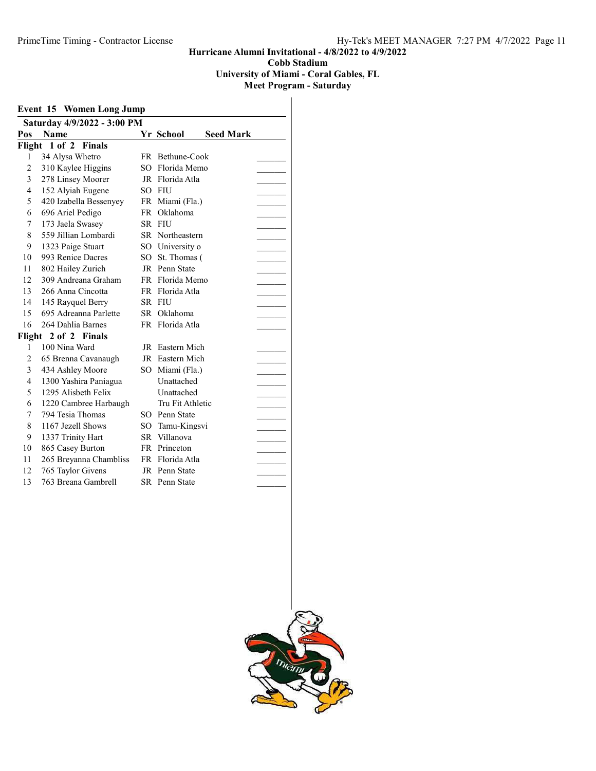University of Miami - Coral Gables, FL

|                | <b>Event 15 Women Long Jump</b> |    |                  |                  |  |
|----------------|---------------------------------|----|------------------|------------------|--|
|                | Saturday 4/9/2022 - 3:00 PM     |    |                  |                  |  |
| Pos            | <b>Name</b>                     |    | Yr School        | <b>Seed Mark</b> |  |
|                | Flight 1 of 2 Finals            |    |                  |                  |  |
| 1              | 34 Alysa Whetro                 |    | FR Bethune-Cook  |                  |  |
| $\overline{c}$ | 310 Kaylee Higgins              | SО | Florida Memo     |                  |  |
| 3              | 278 Linsey Moorer               |    | JR Florida Atla  |                  |  |
| 4              | 152 Alyiah Eugene               |    | SO FIU           |                  |  |
| 5              | 420 Izabella Bessenyey          |    | FR Miami (Fla.)  |                  |  |
| 6              | 696 Ariel Pedigo                |    | FR Oklahoma      |                  |  |
| 7              | 173 Jaela Swasey                |    | SR FIU           |                  |  |
| 8              | 559 Jillian Lombardi            |    | SR Northeastern  |                  |  |
| 9              | 1323 Paige Stuart               |    | SO University o  |                  |  |
| 10             | 993 Renice Dacres               |    | SO St. Thomas (  |                  |  |
| 11             | 802 Hailey Zurich               |    | JR Penn State    |                  |  |
| 12             | 309 Andreana Graham             |    | FR Florida Memo  |                  |  |
| 13             | 266 Anna Cincotta               |    | FR Florida Atla  |                  |  |
| 14             | 145 Rayquel Berry               |    | SR FIU           |                  |  |
| 15             | 695 Adreanna Parlette           |    | SR Oklahoma      |                  |  |
| 16             | 264 Dahlia Barnes               |    | FR Florida Atla  |                  |  |
|                | Flight 2 of 2 Finals            |    |                  |                  |  |
| 1              | 100 Nina Ward                   |    | JR Eastern Mich  |                  |  |
| $\overline{c}$ | 65 Brenna Cavanaugh             |    | JR Eastern Mich  |                  |  |
| 3              | 434 Ashley Moore                |    | SO Miami (Fla.)  |                  |  |
| 4              | 1300 Yashira Paniagua           |    | Unattached       |                  |  |
| 5              | 1295 Alisbeth Felix             |    | Unattached       |                  |  |
| 6              | 1220 Cambree Harbaugh           |    | Tru Fit Athletic |                  |  |
| 7              | 794 Tesia Thomas                |    | SO Penn State    |                  |  |
| 8              | 1167 Jezell Shows               |    | SO Tamu-Kingsvi  |                  |  |
| 9              | 1337 Trinity Hart               |    | SR Villanova     |                  |  |
| 10             | 865 Casey Burton                |    | FR Princeton     |                  |  |
| 11             | 265 Breyanna Chambliss          |    | FR Florida Atla  |                  |  |
| 12             | 765 Taylor Givens               |    | JR Penn State    |                  |  |
| 13             | 763 Breana Gambrell             |    | SR Penn State    |                  |  |

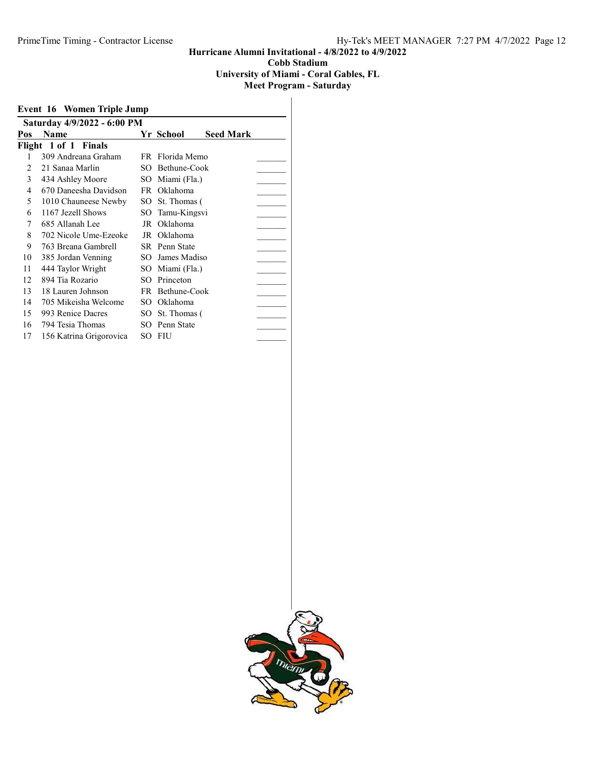#### University of Miami - Coral Gables, FL

| Event 16 Women Triple Jump |                             |     |                 |                  |  |  |
|----------------------------|-----------------------------|-----|-----------------|------------------|--|--|
|                            | Saturday 4/9/2022 - 6:00 PM |     |                 |                  |  |  |
| Pos                        | <b>Name</b>                 |     | Yr School       | <b>Seed Mark</b> |  |  |
|                            | Flight 1 of 1 Finals        |     |                 |                  |  |  |
|                            | 309 Andreana Graham         |     | FR Florida Memo |                  |  |  |
| 2                          | 21 Sanaa Marlin             | SO. | Bethune-Cook    |                  |  |  |
| 3                          | 434 Ashley Moore            | SO  | Miami (Fla.)    |                  |  |  |
| 4                          | 670 Daneesha Davidson       |     | FR Oklahoma     |                  |  |  |
| 5                          | 1010 Chauneese Newby        | SO  | St. Thomas (    |                  |  |  |
| 6                          | 1167 Jezell Shows           | SO  | Tamu-Kingsvi    |                  |  |  |
| 7                          | 685 Allanah Lee             | JR  | Oklahoma        |                  |  |  |
| 8                          | 702 Nicole Ume-Ezeoke       | JR  | Oklahoma        |                  |  |  |
| 9                          | 763 Breana Gambrell         |     | SR Penn State   |                  |  |  |
| 10                         | 385 Jordan Venning          | SO. | James Madiso    |                  |  |  |
| 11                         | 444 Taylor Wright           |     | SO Miami (Fla.) |                  |  |  |
| 12                         | 894 Tia Rozario             | SО  | Princeton       |                  |  |  |
| 13                         | 18 Lauren Johnson           |     | FR Bethune-Cook |                  |  |  |
| 14                         | 705 Mikeisha Welcome        | SO. | Oklahoma        |                  |  |  |
| 15                         | 993 Renice Dacres           | SO. | St. Thomas (    |                  |  |  |
| 16                         | 794 Tesia Thomas            | SО  | Penn State      |                  |  |  |
| 17                         | 156 Katrina Grigorovica     | SО  | FIU             |                  |  |  |

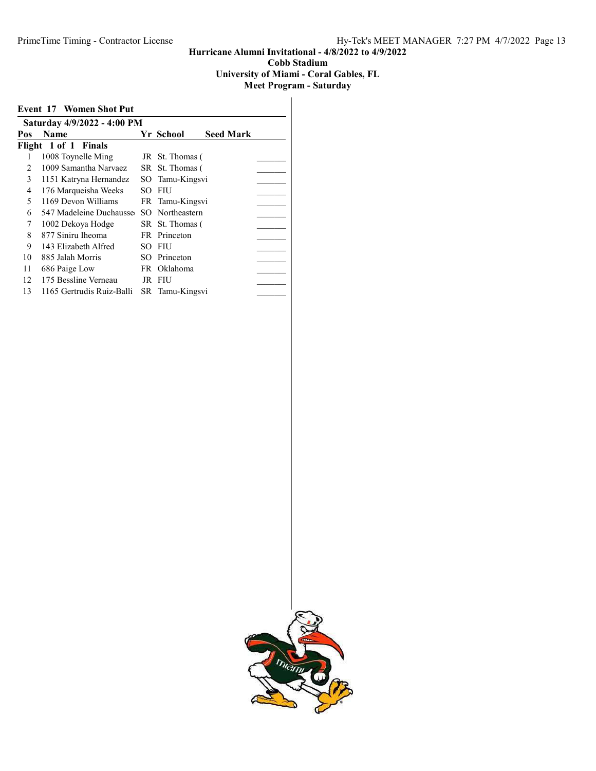#### Hurricane Alumni Invitational - 4/8/2022 to 4/9/2022 Cobb Stadium University of Miami - Coral Gables, FL

|                             | <b>Event 17 Women Shot Put</b> |     |                               |  |  |  |  |
|-----------------------------|--------------------------------|-----|-------------------------------|--|--|--|--|
| Saturday 4/9/2022 - 4:00 PM |                                |     |                               |  |  |  |  |
| Pos                         | <b>Name</b>                    |     | <b>Seed Mark</b><br>Yr School |  |  |  |  |
|                             | Flight 1 of 1 Finals           |     |                               |  |  |  |  |
|                             | 1008 Toynelle Ming             |     | JR St. Thomas (               |  |  |  |  |
| $\mathcal{L}$               | 1009 Samantha Narvaez          |     | SR St. Thomas (               |  |  |  |  |
| 3                           | 1151 Katryna Hernandez         |     | SO Tamu-Kingsvi               |  |  |  |  |
| 4                           | 176 Marqueisha Weeks           | SO. | - FIU                         |  |  |  |  |
| 5                           | 1169 Devon Williams            |     | FR Tamu-Kingsvi               |  |  |  |  |
| 6                           | 547 Madeleine Duchausse        |     | SO Northeastern               |  |  |  |  |
| 7                           | 1002 Dekoya Hodge              |     | SR St. Thomas (               |  |  |  |  |
| 8                           | 877 Siniru Iheoma              |     | FR Princeton                  |  |  |  |  |
| 9                           | 143 Elizabeth Alfred           | SO. | FIU                           |  |  |  |  |
| 10                          | 885 Jalah Morris               |     | SO Princeton                  |  |  |  |  |
| 11                          | 686 Paige Low                  |     | FR Oklahoma                   |  |  |  |  |
| 12                          | 175 Bessline Verneau           |     | JR FIU                        |  |  |  |  |
| 13                          | 1165 Gertrudis Ruiz-Balli      |     | SR Tamu-Kingsvi               |  |  |  |  |
|                             |                                |     |                               |  |  |  |  |

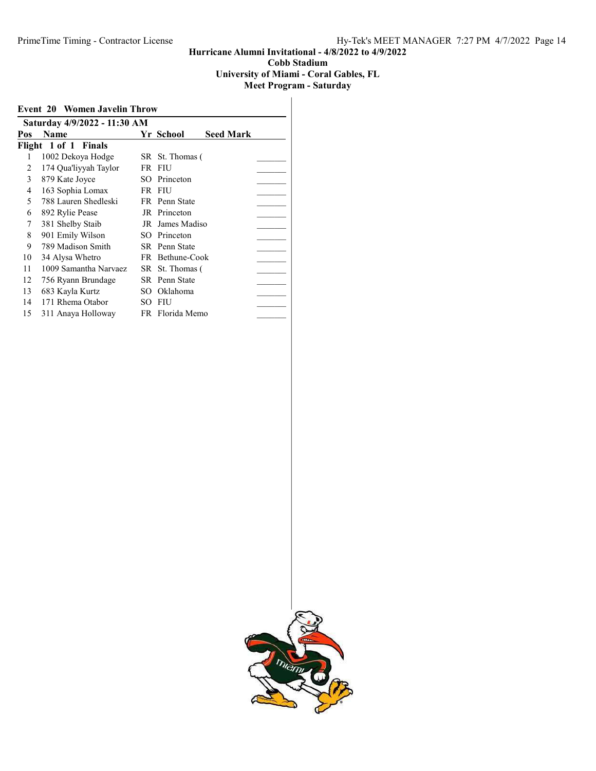University of Miami - Coral Gables, FL

|     | <b>Event 20 Women Javelin Throw</b> |     |                      |                  |
|-----|-------------------------------------|-----|----------------------|------------------|
|     | Saturday 4/9/2022 - 11:30 AM        |     |                      |                  |
| Pos | Name                                |     | Yr School            | <b>Seed Mark</b> |
|     | Flight 1 of 1 Finals                |     |                      |                  |
|     | 1002 Dekoya Hodge                   |     | SR St. Thomas (      |                  |
| 2   | 174 Qua'liyyah Taylor               | FR  | FIU                  |                  |
| 3   | 879 Kate Joyce                      | SO. | Princeton            |                  |
| 4   | 163 Sophia Lomax                    |     | FR FIU               |                  |
| 5   | 788 Lauren Shedleski                |     | FR Penn State        |                  |
| 6   | 892 Rylie Pease                     |     | JR Princeton         |                  |
| 7   | 381 Shelby Staib                    |     | JR James Madiso      |                  |
| 8   | 901 Emily Wilson                    | SO. | Princeton            |                  |
| 9   | 789 Madison Smith                   |     | <b>SR</b> Penn State |                  |
| 10  | 34 Alysa Whetro                     |     | FR Bethune-Cook      |                  |
| 11  | 1009 Samantha Narvaez               |     | SR St. Thomas (      |                  |
| 12  | 756 Ryann Brundage                  |     | SR Penn State        |                  |
| 13  | 683 Kayla Kurtz                     | SО  | Oklahoma             |                  |
| 14  | 171 Rhema Otabor                    | SО  | <b>FIU</b>           |                  |
| 15  | 311 Anaya Holloway                  |     | FR Florida Memo      |                  |

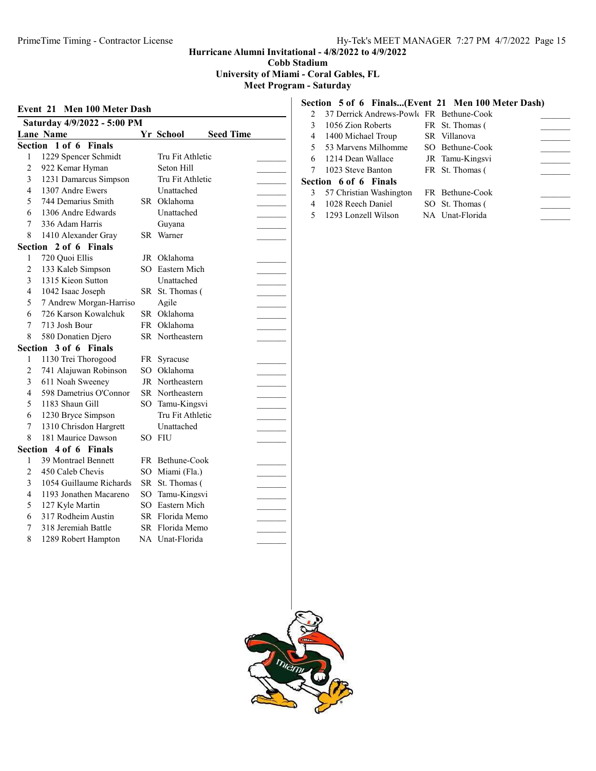Cobb Stadium

University of Miami - Coral Gables, FL

Meet Program - Saturday

## Event 21 Men 100 Meter Dash Saturday 4/9/2022 - 5:00 PM Lane Name Yr School Seed Time Section 1 of 6 Finals 1 1229 Spencer Schmidt Tru Fit Athletic 2 922 Kemar Hyman Seton Hill 3 1231 Damarcus Simpson Tru Fit Athletic 4 1307 Andre Ewers Unattached \_\_\_\_\_\_\_\_\_ 5 744 Demarius Smith SR Oklahoma 6 1306 Andre Edwards Unattached \_\_\_\_\_\_\_\_\_ 7 336 Adam Harris Guyana 8 1410 Alexander Gray SR Warner Section 2 of 6 Finals 1 720 Quoi Ellis JR Oklahoma 2 133 Kaleb Simpson SO Eastern Mich 3 1315 Kieon Sutton Unattached \_\_\_\_\_\_\_\_\_ 4 1042 Isaac Joseph SR St. Thomas ( 5 7 Andrew Morgan-Harriso Agile 6 726 Karson Kowalchuk SR Oklahoma \_\_\_\_\_\_\_\_\_ 7 713 Josh Bour FR Oklahoma 8 580 Donatien Djero SR Northeastern Section 3 of 6 Finals 1 1130 Trei Thorogood FR Syracuse 2 741 Alajuwan Robinson SO Oklahoma 3 611 Noah Sweeney JR Northeastern 4 598 Dametrius O'Connor SR Northeastern 5 1183 Shaun Gill SO Tamu-Kingsvi<br>
6 1230 Bryce Simpson Tru Fit Athletic<br>
7 1310 Chrisdon Hargrett Unattached<br>
8 181 Maurice Dawson SO FIU 6 1230 Bryce Simpson Tru Fit Athletic \_\_\_\_\_\_\_\_\_

7 1310 Chrisdon Hargrett Unattached \_\_\_\_\_\_\_\_\_ 8 181 Maurice Dawson SO FIU

1 39 Montrael Bennett FR Bethune-Cook 2 450 Caleb Chevis SO Miami (Fla.) 3 1054 Guillaume Richards SR St. Thomas ( 4 1193 Jonathen Macareno SO Tamu-Kingsvi 5 127 Kyle Martin SO Eastern Mich 6 317 Rodheim Austin SR Florida Memo 7 318 Jeremiah Battle SR Florida Memo 8 1289 Robert Hampton NA Unat-Florida

Section 4 of 6 Finals

#### Section 5 of 6 Finals...(Event 21 Men 100 Meter Dash)

|    | 2 37 Derrick Andrews-Powle FR Bethune-Cook |                 |  |
|----|--------------------------------------------|-----------------|--|
| 3  | 1056 Zion Roberts                          | FR St. Thomas ( |  |
|    | 4 1400 Michael Troup                       | SR Villanova    |  |
| .5 | 53 Marvens Milhomme                        | SO Bethune-Cook |  |
| 6. | 1214 Dean Wallace                          | JR Tamu-Kingsvi |  |
|    | 7 1023 Steve Banton                        | FR St. Thomas ( |  |
|    | Section 6 of 6 Finals                      |                 |  |
| 3  | 57 Christian Washington                    | FR Bethune-Cook |  |
|    | 1028 Reech Daniel                          | SO St. Thomas ( |  |
|    | 5 1293 Lonzell Wilson                      | NA Unat-Florida |  |

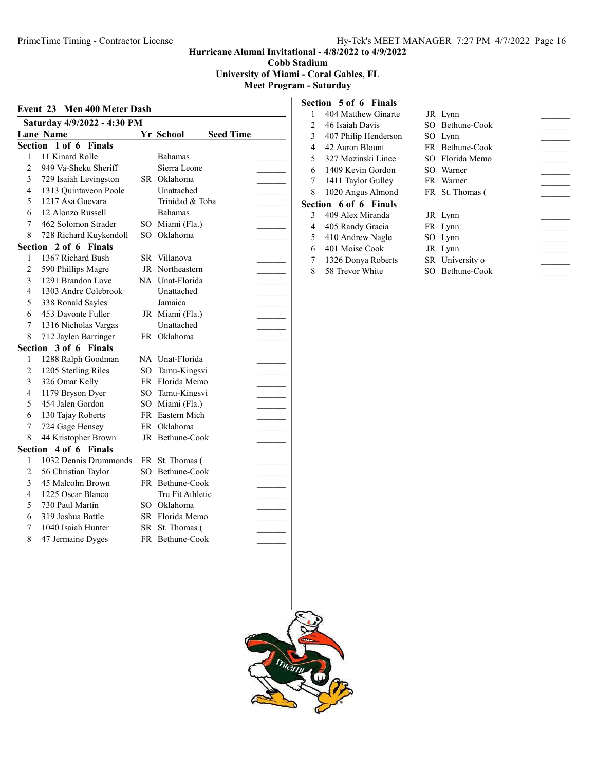Cobb Stadium

University of Miami - Coral Gables, FL

### Meet Program - Saturday

# Event 23 Men 400 Meter Dash Saturday 4/9/2022 - 4:30 PM Lane Name<br>Section 1 of 6 Finals<br>Section 1 of 6 Finals Section 1 of 6 Finals

| 11 Kinard Rolle<br>1<br><b>Bahamas</b><br>Sierra Leone<br>$\overline{2}$<br>949 Va-Sheku Sheriff<br>3<br>729 Isaiah Levingston<br>SR Oklahoma<br>Unattached<br>4<br>1313 Quintaveon Poole<br>Trinidad & Toba<br>5<br>1217 Asa Guevara<br>6<br>12 Alonzo Russell<br><b>Bahamas</b><br>7<br>462 Solomon Strader<br>SO Miami (Fla.)<br>Oklahoma<br>8<br>728 Richard Kuykendoll<br>SO<br>Section 2 of 6 Finals<br>1367 Richard Bush<br>1<br>SR Villanova<br>JR Northeastern<br>$\overline{2}$<br>590 Phillips Magre<br>3<br>1291 Brandon Love<br>NA Unat-Florida<br>1303 Andre Colebrook<br>Unattached<br>4<br>Jamaica<br>5<br>338 Ronald Sayles<br>JR Miami (Fla.)<br>6<br>453 Davonte Fuller<br>Unattached<br>7<br>1316 Nicholas Vargas<br>FR Oklahoma<br>8<br>712 Jaylen Barringer<br>3 of 6 Finals<br>Section<br>1288 Ralph Goodman<br>NA Unat-Florida<br>1<br>$\overline{2}$<br>1205 Sterling Riles<br>SO<br>Tamu-Kingsvi<br>3<br>326 Omar Kelly<br>FR Florida Memo<br>1179 Bryson Dyer<br>4<br>SO Tamu-Kingsvi<br>454 Jalen Gordon<br>5<br>SO Miami (Fla.)<br>FR Eastern Mich<br>6<br>130 Tajay Roberts<br>7<br>724 Gage Hensey<br>Oklahoma<br>FR -<br>8<br>44 Kristopher Brown<br>JR Bethune-Cook<br>4 of 6 Finals<br>Section<br>1032 Dennis Drummonds<br>1<br>FR St. Thomas (<br>Bethune-Cook<br>2<br>56 Christian Taylor<br>SO.<br>45 Malcolm Brown<br>3<br>FR Bethune-Cook<br>1225 Oscar Blanco<br>Tru Fit Athletic<br>4<br>5<br>730 Paul Martin<br>SO Oklahoma<br>SR Florida Memo<br>6<br>319 Joshua Battle | Section | 1 of 6 Finals |  |  |
|--------------------------------------------------------------------------------------------------------------------------------------------------------------------------------------------------------------------------------------------------------------------------------------------------------------------------------------------------------------------------------------------------------------------------------------------------------------------------------------------------------------------------------------------------------------------------------------------------------------------------------------------------------------------------------------------------------------------------------------------------------------------------------------------------------------------------------------------------------------------------------------------------------------------------------------------------------------------------------------------------------------------------------------------------------------------------------------------------------------------------------------------------------------------------------------------------------------------------------------------------------------------------------------------------------------------------------------------------------------------------------------------------------------------------------------------------------------------------------------------------------------------|---------|---------------|--|--|
|                                                                                                                                                                                                                                                                                                                                                                                                                                                                                                                                                                                                                                                                                                                                                                                                                                                                                                                                                                                                                                                                                                                                                                                                                                                                                                                                                                                                                                                                                                                    |         |               |  |  |
|                                                                                                                                                                                                                                                                                                                                                                                                                                                                                                                                                                                                                                                                                                                                                                                                                                                                                                                                                                                                                                                                                                                                                                                                                                                                                                                                                                                                                                                                                                                    |         |               |  |  |
|                                                                                                                                                                                                                                                                                                                                                                                                                                                                                                                                                                                                                                                                                                                                                                                                                                                                                                                                                                                                                                                                                                                                                                                                                                                                                                                                                                                                                                                                                                                    |         |               |  |  |
|                                                                                                                                                                                                                                                                                                                                                                                                                                                                                                                                                                                                                                                                                                                                                                                                                                                                                                                                                                                                                                                                                                                                                                                                                                                                                                                                                                                                                                                                                                                    |         |               |  |  |
|                                                                                                                                                                                                                                                                                                                                                                                                                                                                                                                                                                                                                                                                                                                                                                                                                                                                                                                                                                                                                                                                                                                                                                                                                                                                                                                                                                                                                                                                                                                    |         |               |  |  |
|                                                                                                                                                                                                                                                                                                                                                                                                                                                                                                                                                                                                                                                                                                                                                                                                                                                                                                                                                                                                                                                                                                                                                                                                                                                                                                                                                                                                                                                                                                                    |         |               |  |  |
|                                                                                                                                                                                                                                                                                                                                                                                                                                                                                                                                                                                                                                                                                                                                                                                                                                                                                                                                                                                                                                                                                                                                                                                                                                                                                                                                                                                                                                                                                                                    |         |               |  |  |
|                                                                                                                                                                                                                                                                                                                                                                                                                                                                                                                                                                                                                                                                                                                                                                                                                                                                                                                                                                                                                                                                                                                                                                                                                                                                                                                                                                                                                                                                                                                    |         |               |  |  |
|                                                                                                                                                                                                                                                                                                                                                                                                                                                                                                                                                                                                                                                                                                                                                                                                                                                                                                                                                                                                                                                                                                                                                                                                                                                                                                                                                                                                                                                                                                                    |         |               |  |  |
|                                                                                                                                                                                                                                                                                                                                                                                                                                                                                                                                                                                                                                                                                                                                                                                                                                                                                                                                                                                                                                                                                                                                                                                                                                                                                                                                                                                                                                                                                                                    |         |               |  |  |
|                                                                                                                                                                                                                                                                                                                                                                                                                                                                                                                                                                                                                                                                                                                                                                                                                                                                                                                                                                                                                                                                                                                                                                                                                                                                                                                                                                                                                                                                                                                    |         |               |  |  |
|                                                                                                                                                                                                                                                                                                                                                                                                                                                                                                                                                                                                                                                                                                                                                                                                                                                                                                                                                                                                                                                                                                                                                                                                                                                                                                                                                                                                                                                                                                                    |         |               |  |  |
|                                                                                                                                                                                                                                                                                                                                                                                                                                                                                                                                                                                                                                                                                                                                                                                                                                                                                                                                                                                                                                                                                                                                                                                                                                                                                                                                                                                                                                                                                                                    |         |               |  |  |
|                                                                                                                                                                                                                                                                                                                                                                                                                                                                                                                                                                                                                                                                                                                                                                                                                                                                                                                                                                                                                                                                                                                                                                                                                                                                                                                                                                                                                                                                                                                    |         |               |  |  |
|                                                                                                                                                                                                                                                                                                                                                                                                                                                                                                                                                                                                                                                                                                                                                                                                                                                                                                                                                                                                                                                                                                                                                                                                                                                                                                                                                                                                                                                                                                                    |         |               |  |  |
|                                                                                                                                                                                                                                                                                                                                                                                                                                                                                                                                                                                                                                                                                                                                                                                                                                                                                                                                                                                                                                                                                                                                                                                                                                                                                                                                                                                                                                                                                                                    |         |               |  |  |
|                                                                                                                                                                                                                                                                                                                                                                                                                                                                                                                                                                                                                                                                                                                                                                                                                                                                                                                                                                                                                                                                                                                                                                                                                                                                                                                                                                                                                                                                                                                    |         |               |  |  |
|                                                                                                                                                                                                                                                                                                                                                                                                                                                                                                                                                                                                                                                                                                                                                                                                                                                                                                                                                                                                                                                                                                                                                                                                                                                                                                                                                                                                                                                                                                                    |         |               |  |  |
|                                                                                                                                                                                                                                                                                                                                                                                                                                                                                                                                                                                                                                                                                                                                                                                                                                                                                                                                                                                                                                                                                                                                                                                                                                                                                                                                                                                                                                                                                                                    |         |               |  |  |
|                                                                                                                                                                                                                                                                                                                                                                                                                                                                                                                                                                                                                                                                                                                                                                                                                                                                                                                                                                                                                                                                                                                                                                                                                                                                                                                                                                                                                                                                                                                    |         |               |  |  |
|                                                                                                                                                                                                                                                                                                                                                                                                                                                                                                                                                                                                                                                                                                                                                                                                                                                                                                                                                                                                                                                                                                                                                                                                                                                                                                                                                                                                                                                                                                                    |         |               |  |  |
|                                                                                                                                                                                                                                                                                                                                                                                                                                                                                                                                                                                                                                                                                                                                                                                                                                                                                                                                                                                                                                                                                                                                                                                                                                                                                                                                                                                                                                                                                                                    |         |               |  |  |
|                                                                                                                                                                                                                                                                                                                                                                                                                                                                                                                                                                                                                                                                                                                                                                                                                                                                                                                                                                                                                                                                                                                                                                                                                                                                                                                                                                                                                                                                                                                    |         |               |  |  |
|                                                                                                                                                                                                                                                                                                                                                                                                                                                                                                                                                                                                                                                                                                                                                                                                                                                                                                                                                                                                                                                                                                                                                                                                                                                                                                                                                                                                                                                                                                                    |         |               |  |  |
|                                                                                                                                                                                                                                                                                                                                                                                                                                                                                                                                                                                                                                                                                                                                                                                                                                                                                                                                                                                                                                                                                                                                                                                                                                                                                                                                                                                                                                                                                                                    |         |               |  |  |
|                                                                                                                                                                                                                                                                                                                                                                                                                                                                                                                                                                                                                                                                                                                                                                                                                                                                                                                                                                                                                                                                                                                                                                                                                                                                                                                                                                                                                                                                                                                    |         |               |  |  |
|                                                                                                                                                                                                                                                                                                                                                                                                                                                                                                                                                                                                                                                                                                                                                                                                                                                                                                                                                                                                                                                                                                                                                                                                                                                                                                                                                                                                                                                                                                                    |         |               |  |  |
|                                                                                                                                                                                                                                                                                                                                                                                                                                                                                                                                                                                                                                                                                                                                                                                                                                                                                                                                                                                                                                                                                                                                                                                                                                                                                                                                                                                                                                                                                                                    |         |               |  |  |
|                                                                                                                                                                                                                                                                                                                                                                                                                                                                                                                                                                                                                                                                                                                                                                                                                                                                                                                                                                                                                                                                                                                                                                                                                                                                                                                                                                                                                                                                                                                    |         |               |  |  |
|                                                                                                                                                                                                                                                                                                                                                                                                                                                                                                                                                                                                                                                                                                                                                                                                                                                                                                                                                                                                                                                                                                                                                                                                                                                                                                                                                                                                                                                                                                                    |         |               |  |  |
|                                                                                                                                                                                                                                                                                                                                                                                                                                                                                                                                                                                                                                                                                                                                                                                                                                                                                                                                                                                                                                                                                                                                                                                                                                                                                                                                                                                                                                                                                                                    |         |               |  |  |
|                                                                                                                                                                                                                                                                                                                                                                                                                                                                                                                                                                                                                                                                                                                                                                                                                                                                                                                                                                                                                                                                                                                                                                                                                                                                                                                                                                                                                                                                                                                    |         |               |  |  |
|                                                                                                                                                                                                                                                                                                                                                                                                                                                                                                                                                                                                                                                                                                                                                                                                                                                                                                                                                                                                                                                                                                                                                                                                                                                                                                                                                                                                                                                                                                                    |         |               |  |  |
| 1040 Isaiah Hunter<br>SR St. Thomas (<br>7                                                                                                                                                                                                                                                                                                                                                                                                                                                                                                                                                                                                                                                                                                                                                                                                                                                                                                                                                                                                                                                                                                                                                                                                                                                                                                                                                                                                                                                                         |         |               |  |  |
| 8<br>47 Jermaine Dyges<br>FR Bethune-Cook                                                                                                                                                                                                                                                                                                                                                                                                                                                                                                                                                                                                                                                                                                                                                                                                                                                                                                                                                                                                                                                                                                                                                                                                                                                                                                                                                                                                                                                                          |         |               |  |  |
|                                                                                                                                                                                                                                                                                                                                                                                                                                                                                                                                                                                                                                                                                                                                                                                                                                                                                                                                                                                                                                                                                                                                                                                                                                                                                                                                                                                                                                                                                                                    |         |               |  |  |

#### Section 5 of 6 Finals 404 Matthey

Section 6 of 6

| 1 | 404 Matthew Ginarte  | JR Lynn         |  |
|---|----------------------|-----------------|--|
| 2 | 46 Isaiah Davis      | SO Bethune-Cook |  |
| 3 | 407 Philip Henderson | SO Lynn         |  |
| 4 | 42 Aaron Blount      | FR Bethune-Cook |  |
| 5 | 327 Mozinski Lince   | SO Florida Memo |  |
| 6 | 1409 Kevin Gordon    | SO Warner       |  |
| 7 | 1411 Taylor Gulley   | FR Warner       |  |
| 8 | 1020 Angus Almond    | FR St. Thomas ( |  |
|   | ection 6 of 6 Finals |                 |  |
| 3 | 409 Alex Miranda     | JR Lynn         |  |
| 4 | 405 Randy Gracia     | FR Lynn         |  |
| 5 | 410 Andrew Nagle     | SO Lynn         |  |
| 6 | 401 Moise Cook       | JR Lynn         |  |
| 7 | 1326 Donya Roberts   | SR University o |  |
| 8 | 58 Trevor White      | SO Bethune-Cook |  |

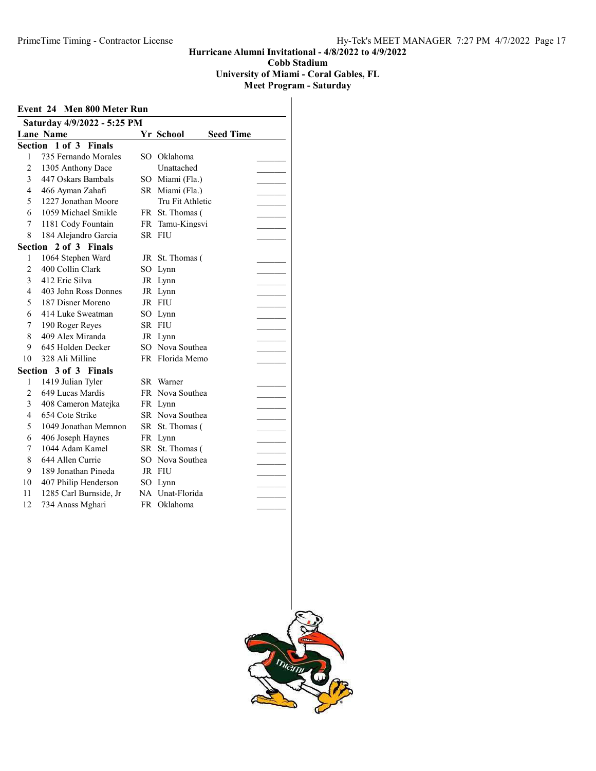## University of Miami - Coral Gables, FL

|                | Event 24 Men 800 Meter Run  |     |                               |  |
|----------------|-----------------------------|-----|-------------------------------|--|
|                | Saturday 4/9/2022 - 5:25 PM |     |                               |  |
|                | <b>Lane Name</b>            |     | Yr School<br><b>Seed Time</b> |  |
|                | Section 1 of 3 Finals       |     |                               |  |
| 1              | 735 Fernando Morales        |     | SO Oklahoma                   |  |
| $\overline{c}$ | 1305 Anthony Dace           |     | Unattached                    |  |
| $\mathcal{E}$  | 447 Oskars Bambals          |     | SO Miami (Fla.)               |  |
| 4              | 466 Ayman Zahafi            |     | SR Miami (Fla.)               |  |
| 5              | 1227 Jonathan Moore         |     | Tru Fit Athletic              |  |
| 6              | 1059 Michael Smikle         |     | FR St. Thomas (               |  |
| 7              | 1181 Cody Fountain          |     | FR Tamu-Kingsvi               |  |
| 8              | 184 Alejandro Garcia        |     | SR FIU                        |  |
|                | Section 2 of 3 Finals       |     |                               |  |
| 1              | 1064 Stephen Ward           |     | JR St. Thomas (               |  |
| $\overline{2}$ | 400 Collin Clark            | SO. | Lynn                          |  |
| 3              | 412 Eric Silva              |     | JR Lynn                       |  |
| 4              | 403 John Ross Donnes        |     | JR Lynn                       |  |
| 5              | 187 Disner Moreno           |     | JR FIU                        |  |
| 6              | 414 Luke Sweatman           | SО  | Lynn                          |  |
| 7              | 190 Roger Reyes             |     | SR FIU                        |  |
| 8              | 409 Alex Miranda            |     | JR Lynn                       |  |
| 9              | 645 Holden Decker           |     | SO Nova Southea               |  |
| 10             | 328 Ali Milline             |     | FR Florida Memo               |  |
|                | Section 3 of 3 Finals       |     |                               |  |
| 1              | 1419 Julian Tyler           |     | SR Warner                     |  |
| $\overline{c}$ | 649 Lucas Mardis            |     | FR Nova Southea               |  |
| 3              | 408 Cameron Matejka         |     | FR Lynn                       |  |
| $\overline{4}$ | 654 Cote Strike             |     | SR Nova Southea               |  |
| 5              | 1049 Jonathan Memnon        |     | SR St. Thomas (               |  |
| 6              | 406 Joseph Haynes           |     | FR Lynn                       |  |
| 7              | 1044 Adam Kamel             |     | SR St. Thomas (               |  |
| 8              | 644 Allen Currie            |     | SO Nova Southea               |  |
| 9              | 189 Jonathan Pineda         |     | JR FIU                        |  |
| 10             | 407 Philip Henderson        | SО  | Lynn                          |  |
| 11             | 1285 Carl Burnside, Jr      |     | NA Unat-Florida               |  |
| 12             | 734 Anass Mghari            |     | FR Oklahoma                   |  |
|                |                             |     |                               |  |

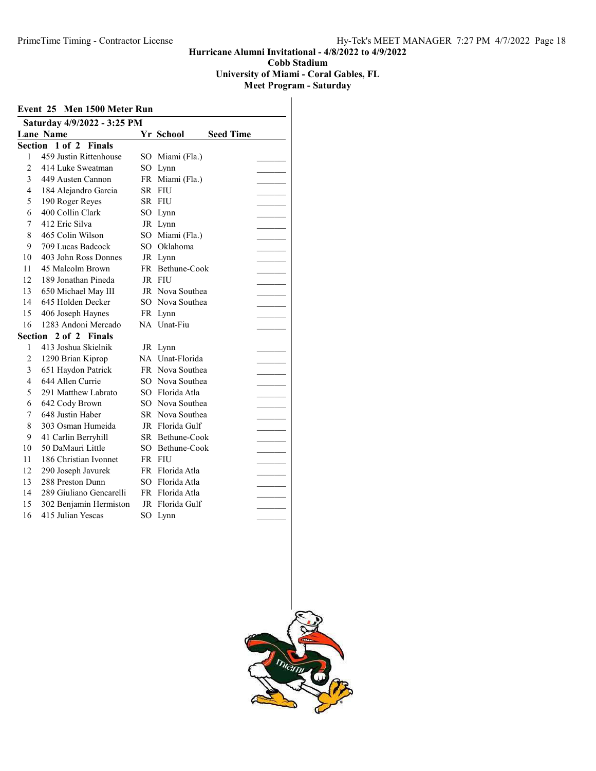#### Hurricane Alumni Invitational - 4/8/2022 to 4/9/2022 Cobb Stadium University of Miami - Coral Gables, FL

|                | Saturday 4/9/2022 - 3:25 PM |    |                 |                  |  |
|----------------|-----------------------------|----|-----------------|------------------|--|
|                | <b>Lane Name</b>            |    | Yr School       | <b>Seed Time</b> |  |
|                | Section<br>1 of 2 Finals    |    |                 |                  |  |
| 1              | 459 Justin Rittenhouse      | SО | Miami (Fla.)    |                  |  |
| $\overline{c}$ | 414 Luke Sweatman           |    | SO Lynn         |                  |  |
| 3              | 449 Austen Cannon           |    | FR Miami (Fla.) |                  |  |
| 4              | 184 Alejandro Garcia        |    | SR FIU          |                  |  |
| 5              | 190 Roger Reyes             |    | SR FIU          |                  |  |
| 6              | 400 Collin Clark            |    | SO Lynn         |                  |  |
| 7              | 412 Eric Silva              |    | JR Lynn         |                  |  |
| 8              | 465 Colin Wilson            |    | SO Miami (Fla.) |                  |  |
| 9              | 709 Lucas Badcock           |    | SO Oklahoma     |                  |  |
| 10             | 403 John Ross Donnes        |    | JR Lynn         |                  |  |
| 11             | 45 Malcolm Brown            |    | FR Bethune-Cook |                  |  |
| 12             | 189 Jonathan Pineda         |    | JR FIU          |                  |  |
| 13             | 650 Michael May III         |    | JR Nova Southea |                  |  |
| 14             | 645 Holden Decker           |    | SO Nova Southea |                  |  |
| 15             | 406 Joseph Haynes           |    | FR Lynn         |                  |  |
| 16             | 1283 Andoni Mercado         |    | NA Unat-Fiu     |                  |  |
|                | Section 2 of 2 Finals       |    |                 |                  |  |
| 1              | 413 Joshua Skielnik         |    | JR Lynn         |                  |  |
| $\overline{2}$ | 1290 Brian Kiprop           |    | NA Unat-Florida |                  |  |
| 3              | 651 Haydon Patrick          |    | FR Nova Southea |                  |  |
| 4              | 644 Allen Currie            | SО | Nova Southea    |                  |  |
| 5              | 291 Matthew Labrato         |    | SO Florida Atla |                  |  |
| 6              | 642 Cody Brown              |    | SO Nova Southea |                  |  |
| 7              | 648 Justin Haber            |    | SR Nova Southea |                  |  |
| 8              | 303 Osman Humeida           |    | JR Florida Gulf |                  |  |
| 9              | 41 Carlin Berryhill         |    | SR Bethune-Cook |                  |  |
| 10             | 50 DaMauri Little           |    | SO Bethune-Cook |                  |  |
| 11             | 186 Christian Ivonnet       |    | FR FIU          |                  |  |
| 12             | 290 Joseph Javurek          |    | FR Florida Atla |                  |  |
| 13             | 288 Preston Dunn            |    | SO Florida Atla |                  |  |
| 14             | 289 Giuliano Gencarelli     |    | FR Florida Atla |                  |  |
| 15             | 302 Benjamin Hermiston      |    | JR Florida Gulf |                  |  |
| 16             | 415 Julian Yescas           |    | SO Lynn         |                  |  |

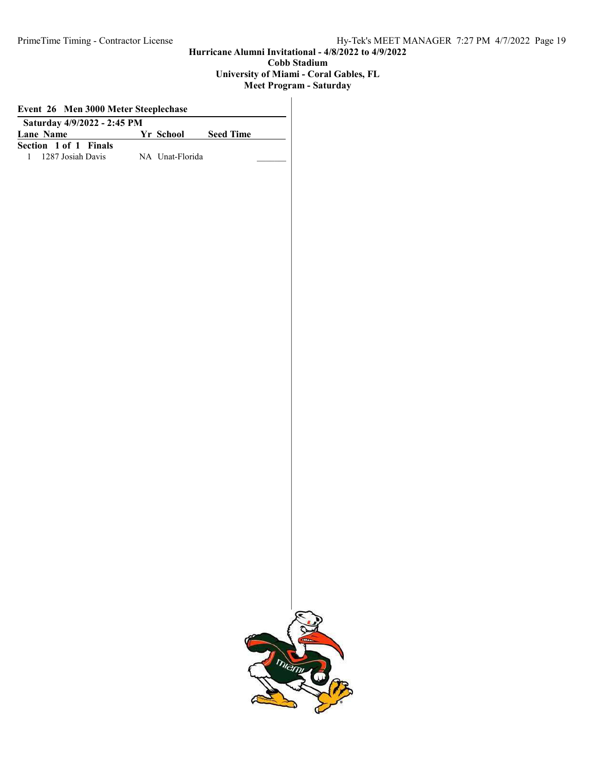#### Cobb Stadium University of Miami - Coral Gables, FL Meet Program - Saturday

| Event 26 Men 3000 Meter Steeplechase<br>Saturday 4/9/2022 - 2:45 PM |  |                 |  |  |  |  |
|---------------------------------------------------------------------|--|-----------------|--|--|--|--|
|                                                                     |  |                 |  |  |  |  |
| Section 1 of 1 Finals                                               |  |                 |  |  |  |  |
| 1287 Josiah Davis<br>$\mathbf{1}$                                   |  | NA Unat-Florida |  |  |  |  |
|                                                                     |  |                 |  |  |  |  |
|                                                                     |  |                 |  |  |  |  |
|                                                                     |  |                 |  |  |  |  |
|                                                                     |  |                 |  |  |  |  |
|                                                                     |  |                 |  |  |  |  |
|                                                                     |  |                 |  |  |  |  |
|                                                                     |  |                 |  |  |  |  |
|                                                                     |  |                 |  |  |  |  |
|                                                                     |  |                 |  |  |  |  |
|                                                                     |  |                 |  |  |  |  |
|                                                                     |  |                 |  |  |  |  |
|                                                                     |  |                 |  |  |  |  |
|                                                                     |  |                 |  |  |  |  |
|                                                                     |  |                 |  |  |  |  |
|                                                                     |  |                 |  |  |  |  |
|                                                                     |  |                 |  |  |  |  |
|                                                                     |  |                 |  |  |  |  |
|                                                                     |  |                 |  |  |  |  |
|                                                                     |  |                 |  |  |  |  |
|                                                                     |  |                 |  |  |  |  |
|                                                                     |  |                 |  |  |  |  |
|                                                                     |  |                 |  |  |  |  |
|                                                                     |  |                 |  |  |  |  |
|                                                                     |  |                 |  |  |  |  |
|                                                                     |  |                 |  |  |  |  |
|                                                                     |  |                 |  |  |  |  |
|                                                                     |  |                 |  |  |  |  |
|                                                                     |  |                 |  |  |  |  |

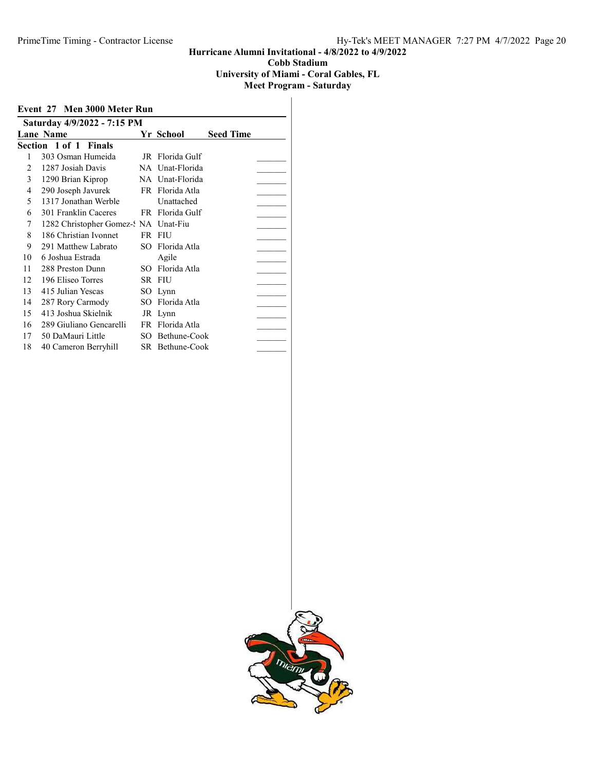University of Miami - Coral Gables, FL

|    | Event 27 Men 3000 Meter Run          |     |                 |                  |  |
|----|--------------------------------------|-----|-----------------|------------------|--|
|    | Saturday 4/9/2022 - 7:15 PM          |     |                 |                  |  |
|    | <b>Lane Name</b>                     |     | Yr School       | <b>Seed Time</b> |  |
|    | Section 1 of 1 Finals                |     |                 |                  |  |
| 1  | 303 Osman Humeida                    |     | JR Florida Gulf |                  |  |
| 2  | 1287 Josiah Davis                    |     | NA Unat-Florida |                  |  |
| 3  | 1290 Brian Kiprop                    |     | NA Unat-Florida |                  |  |
| 4  | 290 Joseph Javurek                   |     | FR Florida Atla |                  |  |
| 5  | 1317 Jonathan Werble                 |     | Unattached      |                  |  |
| 6  | 301 Franklin Caceres                 |     | FR Florida Gulf |                  |  |
| 7  | 1282 Christopher Gomez-: NA Unat-Fiu |     |                 |                  |  |
| 8  | 186 Christian Ivonnet                |     | FR FIU          |                  |  |
| 9  | 291 Matthew Labrato                  | SO. | Florida Atla    |                  |  |
| 10 | 6 Joshua Estrada                     |     | Agile           |                  |  |
| 11 | 288 Preston Dunn                     | SO. | Florida Atla    |                  |  |
| 12 | 196 Eliseo Torres                    |     | SR FIU          |                  |  |
| 13 | 415 Julian Yescas                    |     | SO Lynn         |                  |  |
| 14 | 287 Rory Carmody                     | SO. | Florida Atla    |                  |  |
| 15 | 413 Joshua Skielnik                  |     | JR Lynn         |                  |  |
| 16 | 289 Giuliano Gencarelli              |     | FR Florida Atla |                  |  |
| 17 | 50 DaMauri Little                    |     | SO Bethune-Cook |                  |  |
| 18 | 40 Cameron Berryhill                 |     | SR Bethune-Cook |                  |  |

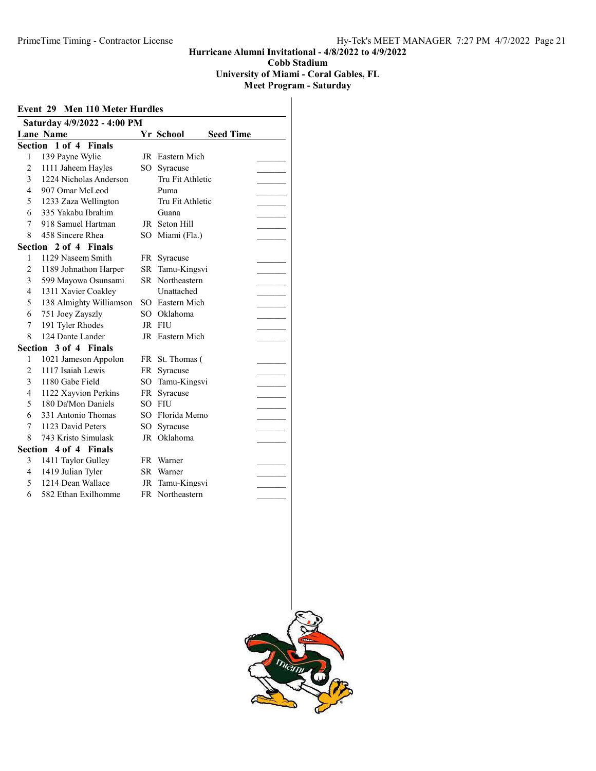University of Miami - Coral Gables, FL

| Saturday 4/9/2022 - 4:00 PM<br><b>Lane Name</b><br>Yr School<br><b>Seed Time</b><br>Section 1 of 4<br><b>Finals</b><br>JR Eastern Mich<br>1<br>139 Payne Wylie<br>$\overline{2}$<br>1111 Jaheem Hayles<br>$SO_{-}$<br>Syracuse<br>3<br>1224 Nicholas Anderson<br>Tru Fit Athletic<br>4<br>907 Omar McLeod<br>Puma<br>5<br>1233 Zaza Wellington<br>Tru Fit Athletic<br>6<br>335 Yakabu Ibrahim<br>Guana<br>918 Samuel Hartman<br>7<br>JR Seton Hill<br>8<br>458 Sincere Rhea<br>$SO^-$<br>Miami (Fla.)<br>Section 2 of 4 Finals<br>1129 Naseem Smith<br>1<br>FR Syracuse<br>$\overline{2}$<br>1189 Johnathon Harper<br>SR.<br>Tamu-Kingsvi<br>3<br>SR Northeastern<br>599 Mayowa Osunsami<br>1311 Xavier Coakley<br>4<br>Unattached<br>5<br>138 Almighty Williamson<br>SO Eastern Mich<br>6<br>751 Joey Zayszly<br>SO Oklahoma<br>191 Tyler Rhodes<br>JR FIU<br>7<br>124 Dante Lander<br>8<br>JR Eastern Mich<br>Section 3 of 4 Finals<br>1021 Jameson Appolon<br>FR St. Thomas (<br>1<br>$\overline{2}$<br>1117 Isaiah Lewis<br>FR<br>Syracuse<br>3<br>1180 Gabe Field<br>$SO_{-}$<br>Tamu-Kingsvi<br>4<br>1122 Xayvion Perkins<br>Syracuse<br>FR<br>180 Da'Mon Daniels<br>5<br>$SO^-$<br><b>FIU</b><br>331 Antonio Thomas<br>6<br>SO Florida Memo<br>1123 David Peters<br>7<br>SO.<br>Syracuse<br>8<br>743 Kristo Simulask<br>JR Oklahoma<br>Section<br>4 of 4 Finals<br>3<br>1411 Taylor Gulley<br>FR Warner<br>1419 Julian Tyler<br>4<br>SR<br>Warner<br>1214 Dean Wallace<br>5<br>Tamu-Kingsvi<br>JR<br>6<br>582 Ethan Exilhomme<br>FR Northeastern | Event 29 Men 110 Meter Hurdles |  |  |
|---------------------------------------------------------------------------------------------------------------------------------------------------------------------------------------------------------------------------------------------------------------------------------------------------------------------------------------------------------------------------------------------------------------------------------------------------------------------------------------------------------------------------------------------------------------------------------------------------------------------------------------------------------------------------------------------------------------------------------------------------------------------------------------------------------------------------------------------------------------------------------------------------------------------------------------------------------------------------------------------------------------------------------------------------------------------------------------------------------------------------------------------------------------------------------------------------------------------------------------------------------------------------------------------------------------------------------------------------------------------------------------------------------------------------------------------------------------------------------------------------------------------------------------------------------|--------------------------------|--|--|
|                                                                                                                                                                                                                                                                                                                                                                                                                                                                                                                                                                                                                                                                                                                                                                                                                                                                                                                                                                                                                                                                                                                                                                                                                                                                                                                                                                                                                                                                                                                                                         |                                |  |  |
|                                                                                                                                                                                                                                                                                                                                                                                                                                                                                                                                                                                                                                                                                                                                                                                                                                                                                                                                                                                                                                                                                                                                                                                                                                                                                                                                                                                                                                                                                                                                                         |                                |  |  |
|                                                                                                                                                                                                                                                                                                                                                                                                                                                                                                                                                                                                                                                                                                                                                                                                                                                                                                                                                                                                                                                                                                                                                                                                                                                                                                                                                                                                                                                                                                                                                         |                                |  |  |
|                                                                                                                                                                                                                                                                                                                                                                                                                                                                                                                                                                                                                                                                                                                                                                                                                                                                                                                                                                                                                                                                                                                                                                                                                                                                                                                                                                                                                                                                                                                                                         |                                |  |  |
|                                                                                                                                                                                                                                                                                                                                                                                                                                                                                                                                                                                                                                                                                                                                                                                                                                                                                                                                                                                                                                                                                                                                                                                                                                                                                                                                                                                                                                                                                                                                                         |                                |  |  |
|                                                                                                                                                                                                                                                                                                                                                                                                                                                                                                                                                                                                                                                                                                                                                                                                                                                                                                                                                                                                                                                                                                                                                                                                                                                                                                                                                                                                                                                                                                                                                         |                                |  |  |
|                                                                                                                                                                                                                                                                                                                                                                                                                                                                                                                                                                                                                                                                                                                                                                                                                                                                                                                                                                                                                                                                                                                                                                                                                                                                                                                                                                                                                                                                                                                                                         |                                |  |  |
|                                                                                                                                                                                                                                                                                                                                                                                                                                                                                                                                                                                                                                                                                                                                                                                                                                                                                                                                                                                                                                                                                                                                                                                                                                                                                                                                                                                                                                                                                                                                                         |                                |  |  |
|                                                                                                                                                                                                                                                                                                                                                                                                                                                                                                                                                                                                                                                                                                                                                                                                                                                                                                                                                                                                                                                                                                                                                                                                                                                                                                                                                                                                                                                                                                                                                         |                                |  |  |
|                                                                                                                                                                                                                                                                                                                                                                                                                                                                                                                                                                                                                                                                                                                                                                                                                                                                                                                                                                                                                                                                                                                                                                                                                                                                                                                                                                                                                                                                                                                                                         |                                |  |  |
|                                                                                                                                                                                                                                                                                                                                                                                                                                                                                                                                                                                                                                                                                                                                                                                                                                                                                                                                                                                                                                                                                                                                                                                                                                                                                                                                                                                                                                                                                                                                                         |                                |  |  |
|                                                                                                                                                                                                                                                                                                                                                                                                                                                                                                                                                                                                                                                                                                                                                                                                                                                                                                                                                                                                                                                                                                                                                                                                                                                                                                                                                                                                                                                                                                                                                         |                                |  |  |
|                                                                                                                                                                                                                                                                                                                                                                                                                                                                                                                                                                                                                                                                                                                                                                                                                                                                                                                                                                                                                                                                                                                                                                                                                                                                                                                                                                                                                                                                                                                                                         |                                |  |  |
|                                                                                                                                                                                                                                                                                                                                                                                                                                                                                                                                                                                                                                                                                                                                                                                                                                                                                                                                                                                                                                                                                                                                                                                                                                                                                                                                                                                                                                                                                                                                                         |                                |  |  |
|                                                                                                                                                                                                                                                                                                                                                                                                                                                                                                                                                                                                                                                                                                                                                                                                                                                                                                                                                                                                                                                                                                                                                                                                                                                                                                                                                                                                                                                                                                                                                         |                                |  |  |
|                                                                                                                                                                                                                                                                                                                                                                                                                                                                                                                                                                                                                                                                                                                                                                                                                                                                                                                                                                                                                                                                                                                                                                                                                                                                                                                                                                                                                                                                                                                                                         |                                |  |  |
|                                                                                                                                                                                                                                                                                                                                                                                                                                                                                                                                                                                                                                                                                                                                                                                                                                                                                                                                                                                                                                                                                                                                                                                                                                                                                                                                                                                                                                                                                                                                                         |                                |  |  |
|                                                                                                                                                                                                                                                                                                                                                                                                                                                                                                                                                                                                                                                                                                                                                                                                                                                                                                                                                                                                                                                                                                                                                                                                                                                                                                                                                                                                                                                                                                                                                         |                                |  |  |
|                                                                                                                                                                                                                                                                                                                                                                                                                                                                                                                                                                                                                                                                                                                                                                                                                                                                                                                                                                                                                                                                                                                                                                                                                                                                                                                                                                                                                                                                                                                                                         |                                |  |  |
|                                                                                                                                                                                                                                                                                                                                                                                                                                                                                                                                                                                                                                                                                                                                                                                                                                                                                                                                                                                                                                                                                                                                                                                                                                                                                                                                                                                                                                                                                                                                                         |                                |  |  |
|                                                                                                                                                                                                                                                                                                                                                                                                                                                                                                                                                                                                                                                                                                                                                                                                                                                                                                                                                                                                                                                                                                                                                                                                                                                                                                                                                                                                                                                                                                                                                         |                                |  |  |
|                                                                                                                                                                                                                                                                                                                                                                                                                                                                                                                                                                                                                                                                                                                                                                                                                                                                                                                                                                                                                                                                                                                                                                                                                                                                                                                                                                                                                                                                                                                                                         |                                |  |  |
|                                                                                                                                                                                                                                                                                                                                                                                                                                                                                                                                                                                                                                                                                                                                                                                                                                                                                                                                                                                                                                                                                                                                                                                                                                                                                                                                                                                                                                                                                                                                                         |                                |  |  |
|                                                                                                                                                                                                                                                                                                                                                                                                                                                                                                                                                                                                                                                                                                                                                                                                                                                                                                                                                                                                                                                                                                                                                                                                                                                                                                                                                                                                                                                                                                                                                         |                                |  |  |
|                                                                                                                                                                                                                                                                                                                                                                                                                                                                                                                                                                                                                                                                                                                                                                                                                                                                                                                                                                                                                                                                                                                                                                                                                                                                                                                                                                                                                                                                                                                                                         |                                |  |  |
|                                                                                                                                                                                                                                                                                                                                                                                                                                                                                                                                                                                                                                                                                                                                                                                                                                                                                                                                                                                                                                                                                                                                                                                                                                                                                                                                                                                                                                                                                                                                                         |                                |  |  |
|                                                                                                                                                                                                                                                                                                                                                                                                                                                                                                                                                                                                                                                                                                                                                                                                                                                                                                                                                                                                                                                                                                                                                                                                                                                                                                                                                                                                                                                                                                                                                         |                                |  |  |
|                                                                                                                                                                                                                                                                                                                                                                                                                                                                                                                                                                                                                                                                                                                                                                                                                                                                                                                                                                                                                                                                                                                                                                                                                                                                                                                                                                                                                                                                                                                                                         |                                |  |  |
|                                                                                                                                                                                                                                                                                                                                                                                                                                                                                                                                                                                                                                                                                                                                                                                                                                                                                                                                                                                                                                                                                                                                                                                                                                                                                                                                                                                                                                                                                                                                                         |                                |  |  |
|                                                                                                                                                                                                                                                                                                                                                                                                                                                                                                                                                                                                                                                                                                                                                                                                                                                                                                                                                                                                                                                                                                                                                                                                                                                                                                                                                                                                                                                                                                                                                         |                                |  |  |
|                                                                                                                                                                                                                                                                                                                                                                                                                                                                                                                                                                                                                                                                                                                                                                                                                                                                                                                                                                                                                                                                                                                                                                                                                                                                                                                                                                                                                                                                                                                                                         |                                |  |  |
|                                                                                                                                                                                                                                                                                                                                                                                                                                                                                                                                                                                                                                                                                                                                                                                                                                                                                                                                                                                                                                                                                                                                                                                                                                                                                                                                                                                                                                                                                                                                                         |                                |  |  |
|                                                                                                                                                                                                                                                                                                                                                                                                                                                                                                                                                                                                                                                                                                                                                                                                                                                                                                                                                                                                                                                                                                                                                                                                                                                                                                                                                                                                                                                                                                                                                         |                                |  |  |
|                                                                                                                                                                                                                                                                                                                                                                                                                                                                                                                                                                                                                                                                                                                                                                                                                                                                                                                                                                                                                                                                                                                                                                                                                                                                                                                                                                                                                                                                                                                                                         |                                |  |  |

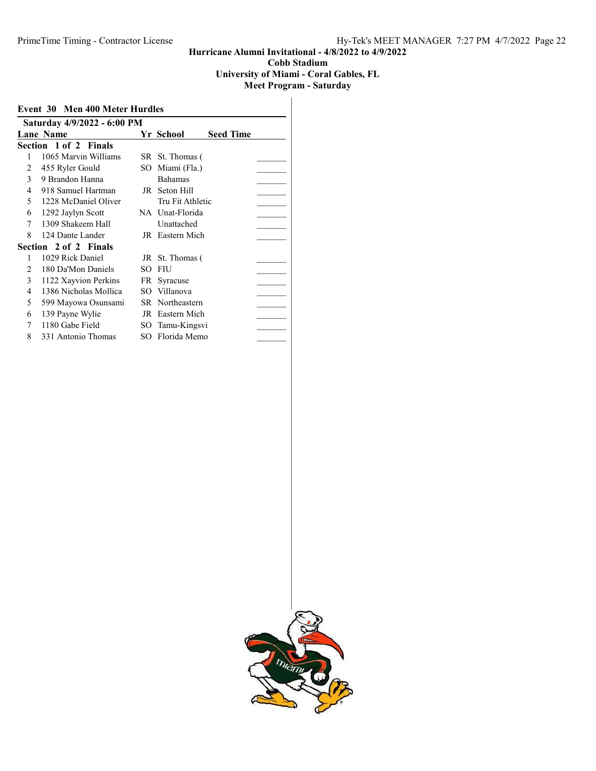University of Miami - Coral Gables, FL Meet Program - Saturday

|  |  | . 1 1 ugi am - Satul |  |  |
|--|--|----------------------|--|--|
|  |  |                      |  |  |

|                | Event 30 Men 400 Meter Hurdles |     |                  |                  |  |  |  |
|----------------|--------------------------------|-----|------------------|------------------|--|--|--|
|                | Saturday 4/9/2022 - 6:00 PM    |     |                  |                  |  |  |  |
|                | <b>Lane Name</b>               |     | Yr School        | <b>Seed Time</b> |  |  |  |
|                | Section 1 of 2 Finals          |     |                  |                  |  |  |  |
|                | 1065 Marvin Williams           |     | SR St. Thomas (  |                  |  |  |  |
| 2              | 455 Ryler Gould                | SO  | Miami (Fla.)     |                  |  |  |  |
| 3              | 9 Brandon Hanna                |     | <b>Bahamas</b>   |                  |  |  |  |
| 4              | 918 Samuel Hartman             | JR  | Seton Hill       |                  |  |  |  |
| 5              | 1228 McDaniel Oliver           |     | Tru Fit Athletic |                  |  |  |  |
| 6              | 1292 Jaylyn Scott              |     | NA Unat-Florida  |                  |  |  |  |
| 7              | 1309 Shakeem Hall              |     | Unattached       |                  |  |  |  |
| 8              | 124 Dante Lander               |     | JR Eastern Mich  |                  |  |  |  |
|                | Section 2 of 2 Finals          |     |                  |                  |  |  |  |
| 1              | 1029 Rick Daniel               |     | JR St. Thomas (  |                  |  |  |  |
| $\overline{c}$ | 180 Da'Mon Daniels             | SO. | FIU              |                  |  |  |  |
| 3              | 1122 Xayvion Perkins           |     | FR Syracuse      |                  |  |  |  |
| 4              | 1386 Nicholas Mollica          |     | SO Villanova     |                  |  |  |  |
| 5              | 599 Mayowa Osunsami            |     | SR Northeastern  |                  |  |  |  |
| 6              | 139 Payne Wylie                | JR  | Eastern Mich     |                  |  |  |  |
| 7              | 1180 Gabe Field                | SO  | Tamu-Kingsvi     |                  |  |  |  |
| 8              | 331 Antonio Thomas             |     | SO Florida Memo  |                  |  |  |  |

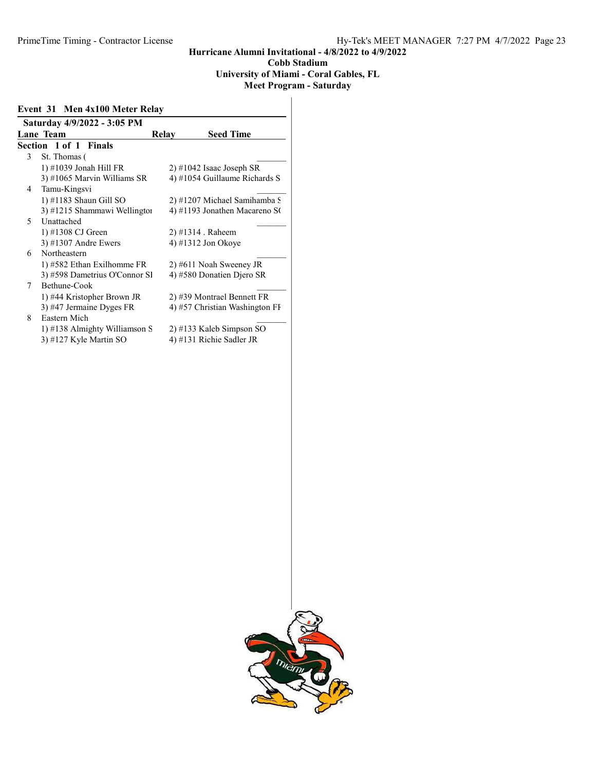#### Hurricane Alumni Invitational - 4/8/2022 to 4/9/2022 Cobb Stadium University of Miami - Coral Gables, FL Meet Program - Saturday

Event 31 Men 4x100 Meter Relay

|   | Saturday 4/9/2022 - 3:05 PM   |       |                                |
|---|-------------------------------|-------|--------------------------------|
|   | <b>Lane Team</b>              | Relay | <b>Seed Time</b>               |
|   | <b>Section 1 of 1 Finals</b>  |       |                                |
| 3 | St. Thomas (                  |       |                                |
|   | 1) #1039 Jonah Hill FR        |       | $2)$ #1042 Isaac Joseph SR     |
|   | 3) #1065 Marvin Williams SR   |       | 4) #1054 Guillaume Richards S  |
| 4 | Tamu-Kingsvi                  |       |                                |
|   | $1)$ #1183 Shaun Gill SO      |       | 2) #1207 Michael Samihamba S   |
|   | 3) #1215 Shammawi Wellington  |       | 4) #1193 Jonathen Macareno SO  |
| 5 | Unattached                    |       |                                |
|   | 1) #1308 CJ Green             |       | 2) #1314 . Raheem              |
|   | $3)$ #1307 Andre Ewers        |       | 4) #1312 Jon Okoye             |
| 6 | Northeastern                  |       |                                |
|   | 1) #582 Ethan Exilhomme FR    |       | 2) #611 Noah Sweeney JR        |
|   | 3) #598 Dametrius O'Connor Sl |       | 4) #580 Donatien Djero SR      |
| 7 | Bethune-Cook                  |       |                                |
|   | 1) #44 Kristopher Brown JR    |       | 2) #39 Montrael Bennett FR     |
|   | 3) #47 Jermaine Dyges FR      |       | 4) #57 Christian Washington FI |
| 8 | Eastern Mich                  |       |                                |
|   | 1) #138 Almighty Williamson S |       | 2) #133 Kaleb Simpson SO       |
|   | 3) #127 Kyle Martin SO        |       | 4) #131 Richie Sadler JR       |

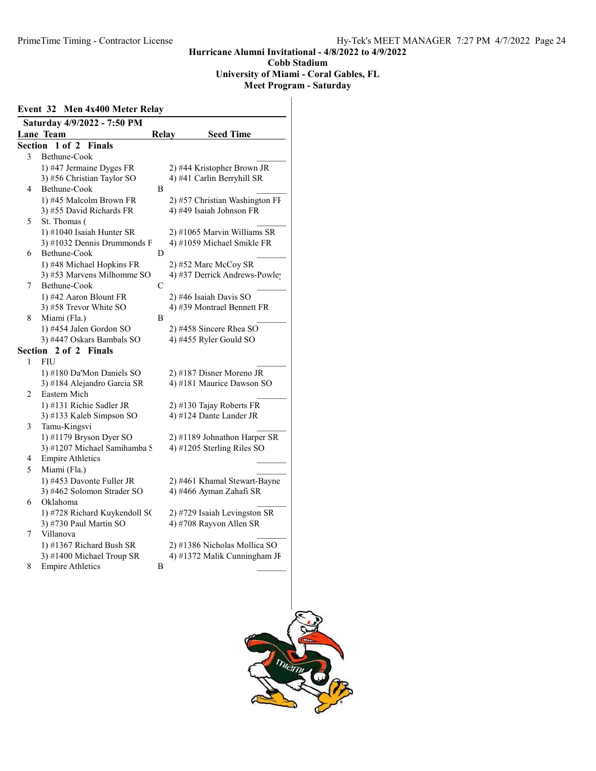#### University of Miami - Coral Gables, FL

|  |  | Event 32 Men 4x400 Meter Relay |  |
|--|--|--------------------------------|--|
|  |  |                                |  |

| Saturday 4/9/2022 - 7:50 PM |                               |              |                                |  |  |  |
|-----------------------------|-------------------------------|--------------|--------------------------------|--|--|--|
|                             | <b>Lane Team</b>              | <b>Relay</b> | <b>Seed Time</b>               |  |  |  |
| <b>Section</b>              | $1$ of $2$<br><b>Finals</b>   |              |                                |  |  |  |
| 3                           | Bethune-Cook                  |              |                                |  |  |  |
|                             | 1) #47 Jermaine Dyges FR      |              | 2) #44 Kristopher Brown JR     |  |  |  |
|                             | 3) #56 Christian Taylor SO    |              | 4) #41 Carlin Berryhill SR     |  |  |  |
| 4                           | Bethune-Cook                  | B            |                                |  |  |  |
|                             | 1) #45 Malcolm Brown FR       |              | 2) #57 Christian Washington FI |  |  |  |
|                             | 3) #55 David Richards FR      |              | 4) #49 Isaiah Johnson FR       |  |  |  |
| 5                           | St. Thomas (                  |              |                                |  |  |  |
|                             | 1) #1040 Isaiah Hunter SR     |              | 2) #1065 Marvin Williams SR    |  |  |  |
|                             | 3) #1032 Dennis Drummonds F   |              | 4) #1059 Michael Smikle FR     |  |  |  |
| 6                           | Bethune-Cook                  | D            |                                |  |  |  |
|                             | 1) #48 Michael Hopkins FR     |              | 2) #52 Marc McCoy SR           |  |  |  |
|                             | 3) #53 Marvens Milhomme SO    |              | 4) #37 Derrick Andrews-Powley  |  |  |  |
| 7                           | Bethune-Cook                  | C            |                                |  |  |  |
|                             | 1) #42 Aaron Blount FR        |              | 2) #46 Isaiah Davis SO         |  |  |  |
|                             | 3) #58 Trevor White SO        |              | 4) #39 Montrael Bennett FR     |  |  |  |
| 8                           | Miami (Fla.)                  | B            |                                |  |  |  |
|                             | 1) #454 Jalen Gordon SO       |              | 2) #458 Sincere Rhea SO        |  |  |  |
|                             | 3) #447 Oskars Bambals SO     |              | 4) #455 Ryler Gould SO         |  |  |  |
|                             | Section 2 of 2 Finals         |              |                                |  |  |  |
| 1                           | <b>FIU</b>                    |              |                                |  |  |  |
|                             | 1) #180 Da'Mon Daniels SO     |              | 2) #187 Disner Moreno JR       |  |  |  |
|                             | 3) #184 Alejandro Garcia SR   |              | 4) #181 Maurice Dawson SO      |  |  |  |
| 2                           | Eastern Mich                  |              |                                |  |  |  |
|                             | 1) #131 Richie Sadler JR      |              | 2) #130 Tajay Roberts FR       |  |  |  |
|                             | 3) #133 Kaleb Simpson SO      |              | 4) #124 Dante Lander JR        |  |  |  |
| 3                           | Tamu-Kingsvi                  |              |                                |  |  |  |
|                             | 1) #1179 Bryson Dyer SO       |              | 2) #1189 Johnathon Harper SR   |  |  |  |
|                             | 3) #1207 Michael Samihamba S  |              | 4) #1205 Sterling Riles SO     |  |  |  |
| 4                           | <b>Empire Athletics</b>       |              |                                |  |  |  |
| 5                           |                               |              |                                |  |  |  |
|                             | Miami (Fla.)                  |              |                                |  |  |  |
|                             | 1) #453 Davonte Fuller JR     |              | 2) #461 Khamal Stewart-Bayne   |  |  |  |
|                             | 3) #462 Solomon Strader SO    |              | 4) #466 Ayman Zahafi SR        |  |  |  |
| 6                           | Oklahoma                      |              |                                |  |  |  |
|                             | 1) #728 Richard Kuykendoll SC |              | 2) #729 Isaiah Levingston SR   |  |  |  |
|                             | 3) #730 Paul Martin SO        |              | 4) #708 Rayvon Allen SR        |  |  |  |
| 7                           | Villanova                     |              |                                |  |  |  |
|                             | 1) #1367 Richard Bush SR      |              | 2) #1386 Nicholas Mollica SO   |  |  |  |
|                             | 3) #1400 Michael Troup SR     |              | 4) #1372 Malik Cunningham JF   |  |  |  |
| 8                           | <b>Empire Athletics</b>       | B            |                                |  |  |  |
|                             |                               |              |                                |  |  |  |

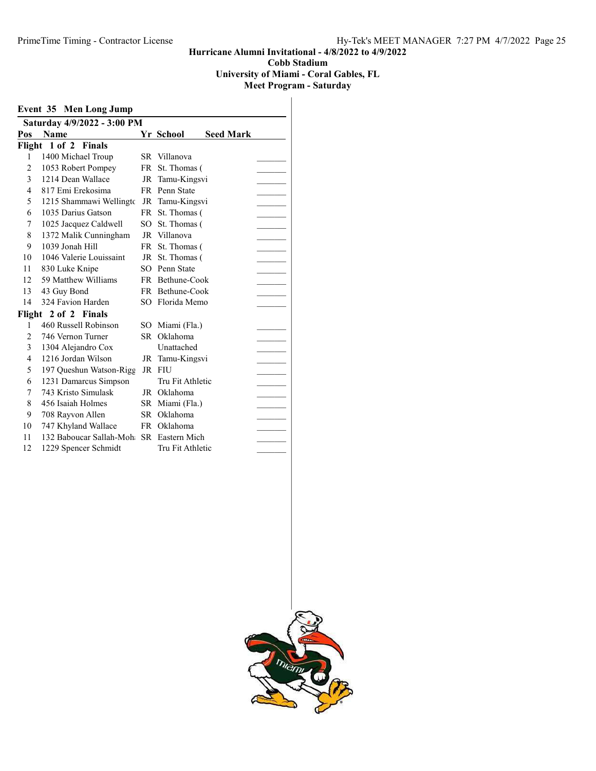University of Miami - Coral Gables, FL

| Event 35 Men Long Jump      |                                         |           |                  |                  |  |  |  |
|-----------------------------|-----------------------------------------|-----------|------------------|------------------|--|--|--|
| Saturday 4/9/2022 - 3:00 PM |                                         |           |                  |                  |  |  |  |
| Pos                         | <b>Name</b>                             |           | Yr School        | <b>Seed Mark</b> |  |  |  |
|                             | Flight 1 of 2 Finals                    |           |                  |                  |  |  |  |
| 1                           | 1400 Michael Troup                      |           | SR Villanova     |                  |  |  |  |
| 2                           | 1053 Robert Pompey                      | FR -      | St. Thomas (     |                  |  |  |  |
| 3                           | 1214 Dean Wallace                       |           | JR Tamu-Kingsvi  |                  |  |  |  |
| 4                           | 817 Emi Erekosima                       |           | FR Penn State    |                  |  |  |  |
| 5                           | 1215 Shammawi Wellingto                 |           | JR Tamu-Kingsvi  |                  |  |  |  |
| 6                           | 1035 Darius Gatson                      | <b>FR</b> | St. Thomas (     |                  |  |  |  |
| 7                           | 1025 Jacquez Caldwell                   |           | SO St. Thomas (  |                  |  |  |  |
| 8                           | 1372 Malik Cunningham                   |           | JR Villanova     |                  |  |  |  |
| 9                           | 1039 Jonah Hill                         | FR -      | St. Thomas (     |                  |  |  |  |
| 10                          | 1046 Valerie Louissaint                 | JR        | St. Thomas (     |                  |  |  |  |
| 11                          | 830 Luke Knipe                          | SO        | Penn State       |                  |  |  |  |
| 12                          | 59 Matthew Williams                     |           | FR Bethune-Cook  |                  |  |  |  |
| 13                          | 43 Guy Bond                             |           | FR Bethune-Cook  |                  |  |  |  |
| 14                          | 324 Favion Harden                       |           | SO Florida Memo  |                  |  |  |  |
|                             | Flight 2 of 2 Finals                    |           |                  |                  |  |  |  |
| 1                           | 460 Russell Robinson                    | SO.       | Miami (Fla.)     |                  |  |  |  |
| $\overline{2}$              | 746 Vernon Turner                       | SR -      | Oklahoma         |                  |  |  |  |
| 3                           | 1304 Alejandro Cox                      |           | Unattached       |                  |  |  |  |
| 4                           | 1216 Jordan Wilson                      | JR        | Tamu-Kingsvi     |                  |  |  |  |
| 5                           | 197 Queshun Watson-Rigg                 |           | JR FIU           |                  |  |  |  |
| 6                           | 1231 Damarcus Simpson                   |           | Tru Fit Athletic |                  |  |  |  |
| 7                           | 743 Kristo Simulask                     | JR        | Oklahoma         |                  |  |  |  |
| 8                           | 456 Isaiah Holmes                       |           | SR Miami (Fla.)  |                  |  |  |  |
| 9                           | 708 Rayvon Allen                        |           | SR Oklahoma      |                  |  |  |  |
| 10                          | 747 Khyland Wallace                     | FR        | Oklahoma         |                  |  |  |  |
| 11                          | 132 Baboucar Sallah-Moh SR Eastern Mich |           |                  |                  |  |  |  |
| 12                          | 1229 Spencer Schmidt                    |           | Tru Fit Athletic |                  |  |  |  |

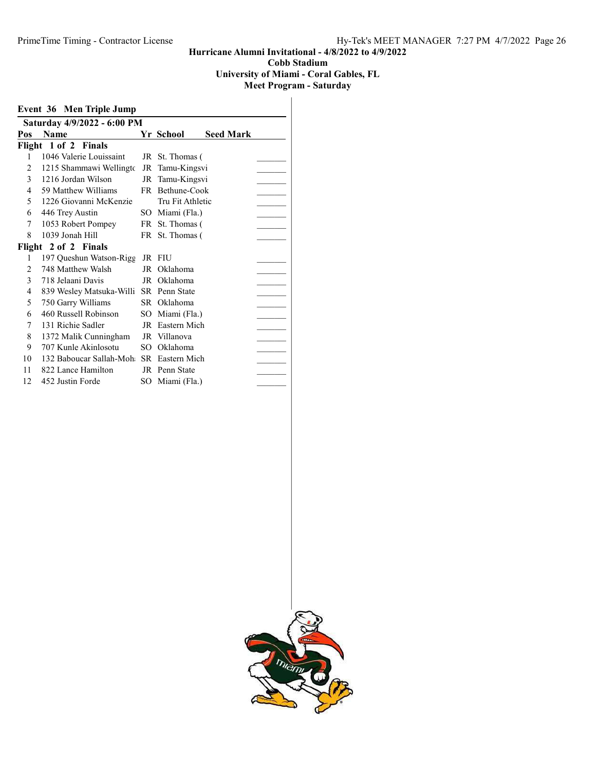University of Miami - Coral Gables, FL

|                | <b>Event 36 Men Triple Jump</b>         |     |                  |                  |  |  |  |  |
|----------------|-----------------------------------------|-----|------------------|------------------|--|--|--|--|
|                | Saturday 4/9/2022 - 6:00 PM             |     |                  |                  |  |  |  |  |
| Pos            | <b>Name</b>                             |     | Yr School        | <b>Seed Mark</b> |  |  |  |  |
|                | Flight 1 of 2 Finals                    |     |                  |                  |  |  |  |  |
| 1              | 1046 Valerie Louissaint                 |     | JR St. Thomas (  |                  |  |  |  |  |
| 2              | 1215 Shammawi Wellingto                 | JR  | Tamu-Kingsvi     |                  |  |  |  |  |
| $\mathfrak{Z}$ | 1216 Jordan Wilson                      | JR  | Tamu-Kingsvi     |                  |  |  |  |  |
| 4              | 59 Matthew Williams                     |     | FR Bethune-Cook  |                  |  |  |  |  |
| 5              | 1226 Giovanni McKenzie                  |     | Tru Fit Athletic |                  |  |  |  |  |
| 6              | 446 Trey Austin                         |     | SO Miami (Fla.)  |                  |  |  |  |  |
| 7              | 1053 Robert Pompey                      |     | FR St. Thomas (  |                  |  |  |  |  |
| 8              | 1039 Jonah Hill                         |     | FR St. Thomas (  |                  |  |  |  |  |
|                | Flight 2 of 2 Finals                    |     |                  |                  |  |  |  |  |
| 1              | 197 Queshun Watson-Rigg                 |     | JR FIU           |                  |  |  |  |  |
| 2              | 748 Matthew Walsh                       | JR  | Oklahoma         |                  |  |  |  |  |
| 3              | 718 Jelaani Davis                       |     | JR Oklahoma      |                  |  |  |  |  |
| 4              | 839 Wesley Matsuka-Willi SR Penn State  |     |                  |                  |  |  |  |  |
| 5              | 750 Garry Williams                      |     | SR Oklahoma      |                  |  |  |  |  |
| 6              | 460 Russell Robinson                    |     | SO Miami (Fla.)  |                  |  |  |  |  |
| 7              | 131 Richie Sadler                       |     | JR Eastern Mich  |                  |  |  |  |  |
| 8              | 1372 Malik Cunningham                   |     | JR Villanova     |                  |  |  |  |  |
| 9              | 707 Kunle Akinlosotu                    | SO. | Oklahoma         |                  |  |  |  |  |
| 10             | 132 Baboucar Sallah-Moh SR Eastern Mich |     |                  |                  |  |  |  |  |
| 11             | 822 Lance Hamilton                      |     | JR Penn State    |                  |  |  |  |  |
| 12             | 452 Justin Forde                        | SО  | Miami (Fla.)     |                  |  |  |  |  |

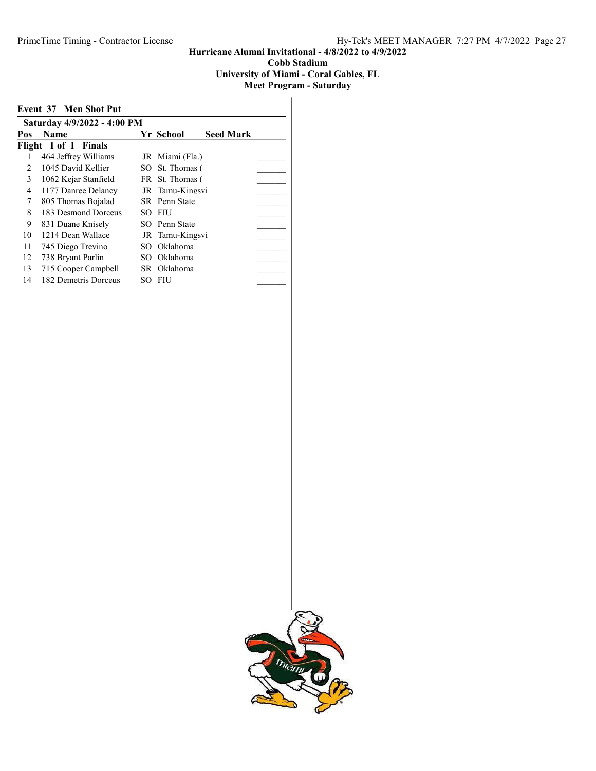# University of Miami - Coral Gables, FL

|     | <b>Event 37 Men Shot Put</b> |                               |  |
|-----|------------------------------|-------------------------------|--|
|     | Saturday 4/9/2022 - 4:00 PM  |                               |  |
| Pos | <b>Name</b>                  | <b>Seed Mark</b><br>Yr School |  |
|     | Flight 1 of 1 Finals         |                               |  |
|     | 464 Jeffrey Williams         | JR Miami (Fla.)               |  |
| 2   | 1045 David Kellier           | SO St. Thomas (               |  |
| 3   | 1062 Kejar Stanfield         | FR St. Thomas (               |  |
| 4   | 1177 Danree Delancy          | JR Tamu-Kingsvi               |  |
| 7   | 805 Thomas Bojalad           | SR Penn State                 |  |
| 8   | 183 Desmond Dorceus          | SO FIU                        |  |
| 9   | 831 Duane Knisely            | SO Penn State                 |  |
| 10  | 1214 Dean Wallace            | JR Tamu-Kingsvi               |  |
| 11  | 745 Diego Trevino            | SO Oklahoma                   |  |
| 12  | 738 Bryant Parlin            | SO Oklahoma                   |  |
| 13  | 715 Cooper Campbell          | SR Oklahoma                   |  |
| 14  | 182 Demetris Dorceus         | SO FIU                        |  |
|     |                              |                               |  |

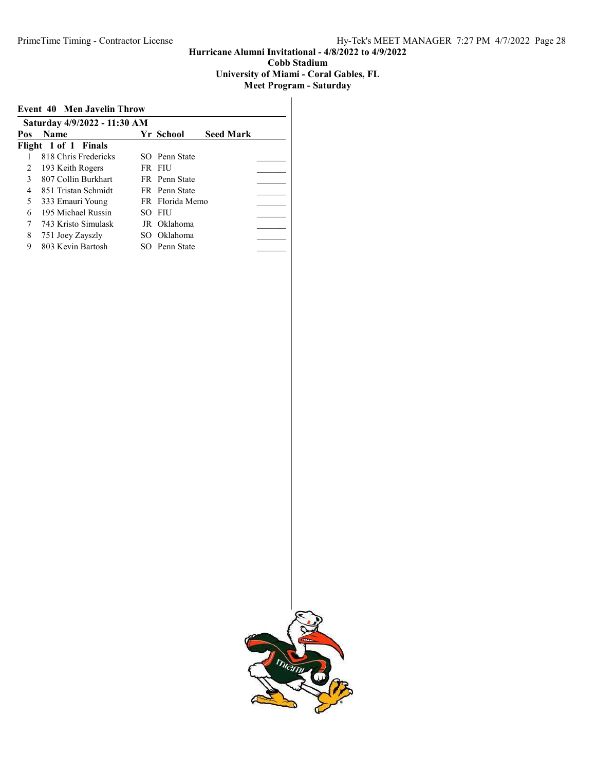#### University of Miami - Coral Gables, FL

| Saturday 4/9/2022 - 11:30 AM<br>Yr School<br><b>Seed Mark</b><br><b>Name</b><br>818 Chris Fredericks<br>SO Penn State<br>2<br>193 Keith Rogers<br>FR FIU<br>807 Collin Burkhart<br>3<br><b>FR</b> Penn State | <b>Event 40 Men Javelin Throw</b> |  |  |  |  |  |  |
|--------------------------------------------------------------------------------------------------------------------------------------------------------------------------------------------------------------|-----------------------------------|--|--|--|--|--|--|
| Pos<br>Flight 1 of 1 Finals                                                                                                                                                                                  |                                   |  |  |  |  |  |  |
|                                                                                                                                                                                                              |                                   |  |  |  |  |  |  |
|                                                                                                                                                                                                              |                                   |  |  |  |  |  |  |
|                                                                                                                                                                                                              |                                   |  |  |  |  |  |  |
|                                                                                                                                                                                                              |                                   |  |  |  |  |  |  |
|                                                                                                                                                                                                              |                                   |  |  |  |  |  |  |
| 851 Tristan Schmidt<br>FR Penn State<br>4                                                                                                                                                                    |                                   |  |  |  |  |  |  |
| 5<br>FR Florida Memo<br>333 Emauri Young                                                                                                                                                                     |                                   |  |  |  |  |  |  |
| 195 Michael Russin<br>6<br>SO FIU                                                                                                                                                                            |                                   |  |  |  |  |  |  |
| 743 Kristo Simulask<br>JR Oklahoma<br>7                                                                                                                                                                      |                                   |  |  |  |  |  |  |
| 8<br>SO Oklahoma<br>751 Joey Zayszly                                                                                                                                                                         |                                   |  |  |  |  |  |  |
| 803 Kevin Bartosh<br>9<br>SO Penn State                                                                                                                                                                      |                                   |  |  |  |  |  |  |